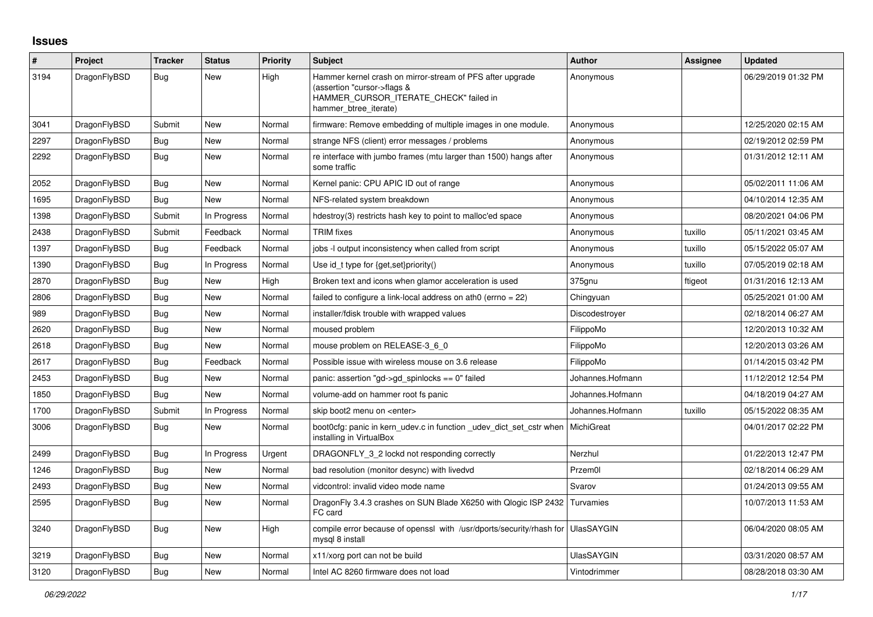## **Issues**

| #    | Project      | <b>Tracker</b> | <b>Status</b> | <b>Priority</b> | <b>Subject</b>                                                                                                                                              | <b>Author</b>     | Assignee | <b>Updated</b>      |
|------|--------------|----------------|---------------|-----------------|-------------------------------------------------------------------------------------------------------------------------------------------------------------|-------------------|----------|---------------------|
| 3194 | DragonFlyBSD | <b>Bug</b>     | New           | High            | Hammer kernel crash on mirror-stream of PFS after upgrade<br>(assertion "cursor->flags &<br>HAMMER_CURSOR_ITERATE_CHECK" failed in<br>hammer btree iterate) | Anonymous         |          | 06/29/2019 01:32 PM |
| 3041 | DragonFlyBSD | Submit         | New           | Normal          | firmware: Remove embedding of multiple images in one module.                                                                                                | Anonymous         |          | 12/25/2020 02:15 AM |
| 2297 | DragonFlyBSD | <b>Bug</b>     | New           | Normal          | strange NFS (client) error messages / problems                                                                                                              | Anonymous         |          | 02/19/2012 02:59 PM |
| 2292 | DragonFlyBSD | Bug            | New           | Normal          | re interface with jumbo frames (mtu larger than 1500) hangs after<br>some traffic                                                                           | Anonymous         |          | 01/31/2012 12:11 AM |
| 2052 | DragonFlyBSD | <b>Bug</b>     | New           | Normal          | Kernel panic: CPU APIC ID out of range                                                                                                                      | Anonymous         |          | 05/02/2011 11:06 AM |
| 1695 | DragonFlyBSD | <b>Bug</b>     | New           | Normal          | NFS-related system breakdown                                                                                                                                | Anonymous         |          | 04/10/2014 12:35 AM |
| 1398 | DragonFlyBSD | Submit         | In Progress   | Normal          | hdestroy(3) restricts hash key to point to malloc'ed space                                                                                                  | Anonymous         |          | 08/20/2021 04:06 PM |
| 2438 | DragonFlyBSD | Submit         | Feedback      | Normal          | <b>TRIM</b> fixes                                                                                                                                           | Anonymous         | tuxillo  | 05/11/2021 03:45 AM |
| 1397 | DragonFlyBSD | <b>Bug</b>     | Feedback      | Normal          | jobs -I output inconsistency when called from script                                                                                                        | Anonymous         | tuxillo  | 05/15/2022 05:07 AM |
| 1390 | DragonFlyBSD | Bug            | In Progress   | Normal          | Use id_t type for {get, set}priority()                                                                                                                      | Anonymous         | tuxillo  | 07/05/2019 02:18 AM |
| 2870 | DragonFlyBSD | <b>Bug</b>     | New           | High            | Broken text and icons when glamor acceleration is used                                                                                                      | 375gnu            | ftigeot  | 01/31/2016 12:13 AM |
| 2806 | DragonFlyBSD | <b>Bug</b>     | <b>New</b>    | Normal          | failed to configure a link-local address on ath0 (errno = 22)                                                                                               | Chingyuan         |          | 05/25/2021 01:00 AM |
| 989  | DragonFlyBSD | <b>Bug</b>     | New           | Normal          | installer/fdisk trouble with wrapped values                                                                                                                 | Discodestroyer    |          | 02/18/2014 06:27 AM |
| 2620 | DragonFlyBSD | Bug            | New           | Normal          | moused problem                                                                                                                                              | FilippoMo         |          | 12/20/2013 10:32 AM |
| 2618 | DragonFlyBSD | <b>Bug</b>     | New           | Normal          | mouse problem on RELEASE-3_6_0                                                                                                                              | FilippoMo         |          | 12/20/2013 03:26 AM |
| 2617 | DragonFlyBSD | Bug            | Feedback      | Normal          | Possible issue with wireless mouse on 3.6 release                                                                                                           | FilippoMo         |          | 01/14/2015 03:42 PM |
| 2453 | DragonFlyBSD | <b>Bug</b>     | New           | Normal          | panic: assertion "gd->gd spinlocks == $0$ " failed                                                                                                          | Johannes.Hofmann  |          | 11/12/2012 12:54 PM |
| 1850 | DragonFlyBSD | Bug            | New           | Normal          | volume-add on hammer root fs panic                                                                                                                          | Johannes.Hofmann  |          | 04/18/2019 04:27 AM |
| 1700 | DragonFlyBSD | Submit         | In Progress   | Normal          | skip boot2 menu on <enter></enter>                                                                                                                          | Johannes.Hofmann  | tuxillo  | 05/15/2022 08:35 AM |
| 3006 | DragonFlyBSD | <b>Bug</b>     | <b>New</b>    | Normal          | boot0cfg: panic in kern udev.c in function udev dict set cstr when<br>installing in VirtualBox                                                              | MichiGreat        |          | 04/01/2017 02:22 PM |
| 2499 | DragonFlyBSD | <b>Bug</b>     | In Progress   | Urgent          | DRAGONFLY 3 2 lockd not responding correctly                                                                                                                | Nerzhul           |          | 01/22/2013 12:47 PM |
| 1246 | DragonFlyBSD | Bug            | New           | Normal          | bad resolution (monitor desync) with livedvd                                                                                                                | Przem0l           |          | 02/18/2014 06:29 AM |
| 2493 | DragonFlyBSD | Bug            | New           | Normal          | vidcontrol: invalid video mode name                                                                                                                         | Svarov            |          | 01/24/2013 09:55 AM |
| 2595 | DragonFlyBSD | Bug            | <b>New</b>    | Normal          | DragonFly 3.4.3 crashes on SUN Blade X6250 with Qlogic ISP 2432<br>FC card                                                                                  | Turvamies         |          | 10/07/2013 11:53 AM |
| 3240 | DragonFlyBSD | <b>Bug</b>     | New           | High            | compile error because of openssl with /usr/dports/security/rhash for UlasSAYGIN<br>mysql 8 install                                                          |                   |          | 06/04/2020 08:05 AM |
| 3219 | DragonFlyBSD | Bug            | New           | Normal          | x11/xorg port can not be build                                                                                                                              | <b>UlasSAYGIN</b> |          | 03/31/2020 08:57 AM |
| 3120 | DragonFlyBSD | Bug            | New           | Normal          | Intel AC 8260 firmware does not load                                                                                                                        | Vintodrimmer      |          | 08/28/2018 03:30 AM |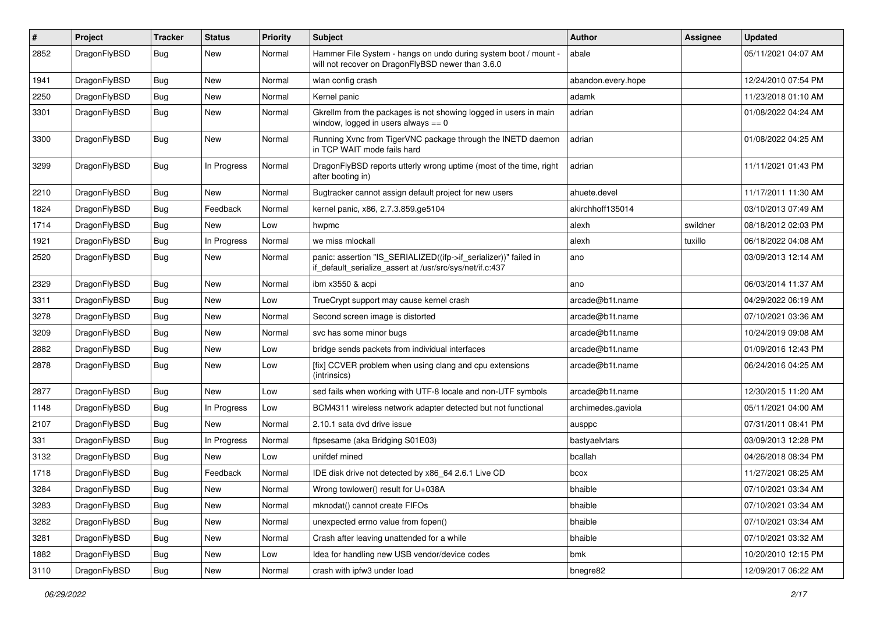| $\pmb{\#}$ | Project      | <b>Tracker</b> | <b>Status</b> | <b>Priority</b> | Subject                                                                                                                      | <b>Author</b>      | Assignee | <b>Updated</b>      |
|------------|--------------|----------------|---------------|-----------------|------------------------------------------------------------------------------------------------------------------------------|--------------------|----------|---------------------|
| 2852       | DragonFlyBSD | Bug            | New           | Normal          | Hammer File System - hangs on undo during system boot / mount -<br>will not recover on DragonFlyBSD newer than 3.6.0         | abale              |          | 05/11/2021 04:07 AM |
| 1941       | DragonFlyBSD | <b>Bug</b>     | <b>New</b>    | Normal          | wlan config crash                                                                                                            | abandon.every.hope |          | 12/24/2010 07:54 PM |
| 2250       | DragonFlyBSD | Bug            | New           | Normal          | Kernel panic                                                                                                                 | adamk              |          | 11/23/2018 01:10 AM |
| 3301       | DragonFlyBSD | Bug            | New           | Normal          | Gkrellm from the packages is not showing logged in users in main<br>window, logged in users always $== 0$                    | adrian             |          | 01/08/2022 04:24 AM |
| 3300       | DragonFlyBSD | Bug            | New           | Normal          | Running Xvnc from TigerVNC package through the INETD daemon<br>in TCP WAIT mode fails hard                                   | adrian             |          | 01/08/2022 04:25 AM |
| 3299       | DragonFlyBSD | Bug            | In Progress   | Normal          | DragonFlyBSD reports utterly wrong uptime (most of the time, right<br>after booting in)                                      | adrian             |          | 11/11/2021 01:43 PM |
| 2210       | DragonFlyBSD | <b>Bug</b>     | New           | Normal          | Bugtracker cannot assign default project for new users                                                                       | ahuete.devel       |          | 11/17/2011 11:30 AM |
| 1824       | DragonFlyBSD | Bug            | Feedback      | Normal          | kernel panic, x86, 2.7.3.859.ge5104                                                                                          | akirchhoff135014   |          | 03/10/2013 07:49 AM |
| 1714       | DragonFlyBSD | Bug            | <b>New</b>    | Low             | hwpmc                                                                                                                        | alexh              | swildner | 08/18/2012 02:03 PM |
| 1921       | DragonFlyBSD | Bug            | In Progress   | Normal          | we miss mlockall                                                                                                             | alexh              | tuxillo  | 06/18/2022 04:08 AM |
| 2520       | DragonFlyBSD | Bug            | <b>New</b>    | Normal          | panic: assertion "IS_SERIALIZED((ifp->if_serializer))" failed in<br>if_default_serialize_assert at /usr/src/sys/net/if.c:437 | ano                |          | 03/09/2013 12:14 AM |
| 2329       | DragonFlyBSD | Bug            | <b>New</b>    | Normal          | ibm x3550 & acpi                                                                                                             | ano                |          | 06/03/2014 11:37 AM |
| 3311       | DragonFlyBSD | Bug            | New           | Low             | TrueCrypt support may cause kernel crash                                                                                     | arcade@b1t.name    |          | 04/29/2022 06:19 AM |
| 3278       | DragonFlyBSD | Bug            | New           | Normal          | Second screen image is distorted                                                                                             | arcade@b1t.name    |          | 07/10/2021 03:36 AM |
| 3209       | DragonFlyBSD | Bug            | <b>New</b>    | Normal          | svc has some minor bugs                                                                                                      | arcade@b1t.name    |          | 10/24/2019 09:08 AM |
| 2882       | DragonFlyBSD | <b>Bug</b>     | <b>New</b>    | Low             | bridge sends packets from individual interfaces                                                                              | arcade@b1t.name    |          | 01/09/2016 12:43 PM |
| 2878       | DragonFlyBSD | Bug            | New           | Low             | [fix] CCVER problem when using clang and cpu extensions<br>(intrinsics)                                                      | arcade@b1t.name    |          | 06/24/2016 04:25 AM |
| 2877       | DragonFlyBSD | Bug            | New           | Low             | sed fails when working with UTF-8 locale and non-UTF symbols                                                                 | arcade@b1t.name    |          | 12/30/2015 11:20 AM |
| 1148       | DragonFlyBSD | Bug            | In Progress   | Low             | BCM4311 wireless network adapter detected but not functional                                                                 | archimedes.gaviola |          | 05/11/2021 04:00 AM |
| 2107       | DragonFlyBSD | Bug            | New           | Normal          | 2.10.1 sata dvd drive issue                                                                                                  | ausppc             |          | 07/31/2011 08:41 PM |
| 331        | DragonFlyBSD | <b>Bug</b>     | In Progress   | Normal          | ftpsesame (aka Bridging S01E03)                                                                                              | bastyaelvtars      |          | 03/09/2013 12:28 PM |
| 3132       | DragonFlyBSD | Bug            | New           | Low             | unifdef mined                                                                                                                | bcallah            |          | 04/26/2018 08:34 PM |
| 1718       | DragonFlyBSD | <b>Bug</b>     | Feedback      | Normal          | IDE disk drive not detected by x86 64 2.6.1 Live CD                                                                          | bcox               |          | 11/27/2021 08:25 AM |
| 3284       | DragonFlyBSD | Bug            | New           | Normal          | Wrong towlower() result for U+038A                                                                                           | bhaible            |          | 07/10/2021 03:34 AM |
| 3283       | DragonFlyBSD | <b>Bug</b>     | New           | Normal          | mknodat() cannot create FIFOs                                                                                                | bhaible            |          | 07/10/2021 03:34 AM |
| 3282       | DragonFlyBSD | <b>Bug</b>     | New           | Normal          | unexpected errno value from fopen()                                                                                          | bhaible            |          | 07/10/2021 03:34 AM |
| 3281       | DragonFlyBSD | <b>Bug</b>     | New           | Normal          | Crash after leaving unattended for a while                                                                                   | bhaible            |          | 07/10/2021 03:32 AM |
| 1882       | DragonFlyBSD | Bug            | New           | Low             | Idea for handling new USB vendor/device codes                                                                                | bmk                |          | 10/20/2010 12:15 PM |
| 3110       | DragonFlyBSD | Bug            | New           | Normal          | crash with ipfw3 under load                                                                                                  | bnegre82           |          | 12/09/2017 06:22 AM |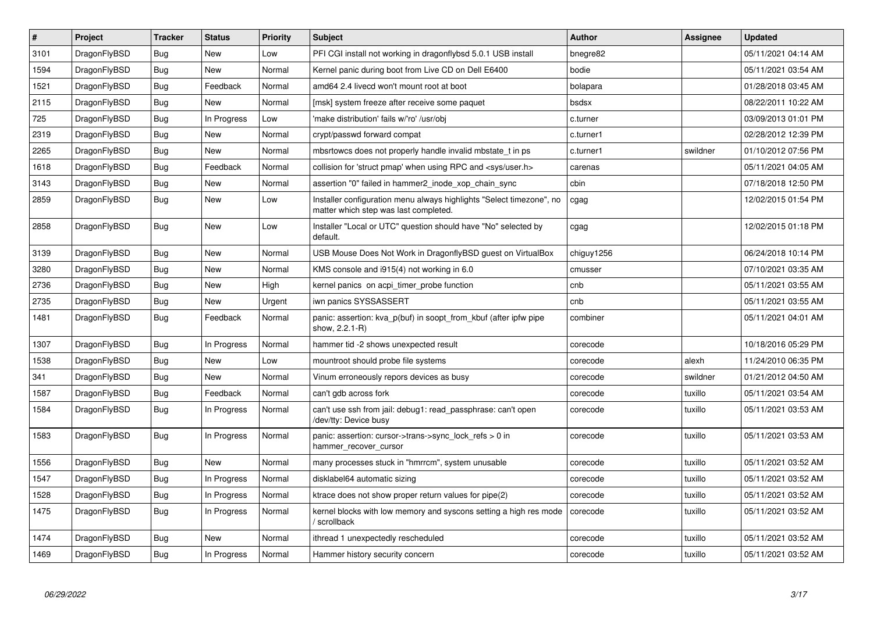| $\vert$ # | <b>Project</b> | <b>Tracker</b> | <b>Status</b> | <b>Priority</b> | <b>Subject</b>                                                                                                | Author     | Assignee | <b>Updated</b>      |
|-----------|----------------|----------------|---------------|-----------------|---------------------------------------------------------------------------------------------------------------|------------|----------|---------------------|
| 3101      | DragonFlyBSD   | Bug            | <b>New</b>    | Low             | PFI CGI install not working in dragonflybsd 5.0.1 USB install                                                 | bnegre82   |          | 05/11/2021 04:14 AM |
| 1594      | DragonFlyBSD   | Bug            | <b>New</b>    | Normal          | Kernel panic during boot from Live CD on Dell E6400                                                           | bodie      |          | 05/11/2021 03:54 AM |
| 1521      | DragonFlyBSD   | <b>Bug</b>     | Feedback      | Normal          | amd64 2.4 livecd won't mount root at boot                                                                     | bolapara   |          | 01/28/2018 03:45 AM |
| 2115      | DragonFlyBSD   | Bug            | <b>New</b>    | Normal          | [msk] system freeze after receive some paquet                                                                 | bsdsx      |          | 08/22/2011 10:22 AM |
| 725       | DragonFlyBSD   | <b>Bug</b>     | In Progress   | Low             | 'make distribution' fails w/'ro' /usr/obj                                                                     | c.turner   |          | 03/09/2013 01:01 PM |
| 2319      | DragonFlyBSD   | Bug            | <b>New</b>    | Normal          | crypt/passwd forward compat                                                                                   | c.turner1  |          | 02/28/2012 12:39 PM |
| 2265      | DragonFlyBSD   | <b>Bug</b>     | <b>New</b>    | Normal          | mbsrtowcs does not properly handle invalid mbstate t in ps                                                    | c.turner1  | swildner | 01/10/2012 07:56 PM |
| 1618      | DragonFlyBSD   | Bug            | Feedback      | Normal          | collision for 'struct pmap' when using RPC and <sys user.h=""></sys>                                          | carenas    |          | 05/11/2021 04:05 AM |
| 3143      | DragonFlyBSD   | <b>Bug</b>     | <b>New</b>    | Normal          | assertion "0" failed in hammer2_inode_xop_chain_sync                                                          | cbin       |          | 07/18/2018 12:50 PM |
| 2859      | DragonFlyBSD   | Bug            | New           | Low             | Installer configuration menu always highlights "Select timezone", no<br>matter which step was last completed. | cgag       |          | 12/02/2015 01:54 PM |
| 2858      | DragonFlyBSD   | Bug            | <b>New</b>    | Low             | Installer "Local or UTC" question should have "No" selected by<br>default.                                    | cgag       |          | 12/02/2015 01:18 PM |
| 3139      | DragonFlyBSD   | Bug            | <b>New</b>    | Normal          | USB Mouse Does Not Work in DragonflyBSD guest on VirtualBox                                                   | chiguy1256 |          | 06/24/2018 10:14 PM |
| 3280      | DragonFlyBSD   | <b>Bug</b>     | <b>New</b>    | Normal          | KMS console and i915(4) not working in 6.0                                                                    | cmusser    |          | 07/10/2021 03:35 AM |
| 2736      | DragonFlyBSD   | Bug            | <b>New</b>    | High            | kernel panics on acpi timer probe function                                                                    | cnb        |          | 05/11/2021 03:55 AM |
| 2735      | DragonFlyBSD   | Bug            | <b>New</b>    | Urgent          | iwn panics SYSSASSERT                                                                                         | cnb        |          | 05/11/2021 03:55 AM |
| 1481      | DragonFlyBSD   | Bug            | Feedback      | Normal          | panic: assertion: kva p(buf) in soopt from kbuf (after ipfw pipe<br>show, 2.2.1-R)                            | combiner   |          | 05/11/2021 04:01 AM |
| 1307      | DragonFlyBSD   | Bug            | In Progress   | Normal          | hammer tid -2 shows unexpected result                                                                         | corecode   |          | 10/18/2016 05:29 PM |
| 1538      | DragonFlyBSD   | <b>Bug</b>     | <b>New</b>    | Low             | mountroot should probe file systems                                                                           | corecode   | alexh    | 11/24/2010 06:35 PM |
| 341       | DragonFlyBSD   | Bug            | <b>New</b>    | Normal          | Vinum erroneously repors devices as busy                                                                      | corecode   | swildner | 01/21/2012 04:50 AM |
| 1587      | DragonFlyBSD   | <b>Bug</b>     | Feedback      | Normal          | can't gdb across fork                                                                                         | corecode   | tuxillo  | 05/11/2021 03:54 AM |
| 1584      | DragonFlyBSD   | Bug            | In Progress   | Normal          | can't use ssh from jail: debug1: read_passphrase: can't open<br>/dev/tty: Device busy                         | corecode   | tuxillo  | 05/11/2021 03:53 AM |
| 1583      | DragonFlyBSD   | <b>Bug</b>     | In Progress   | Normal          | panic: assertion: cursor->trans->sync lock refs $> 0$ in<br>hammer_recover_cursor                             | corecode   | tuxillo  | 05/11/2021 03:53 AM |
| 1556      | DragonFlyBSD   | <b>Bug</b>     | <b>New</b>    | Normal          | many processes stuck in "hmrrcm", system unusable                                                             | corecode   | tuxillo  | 05/11/2021 03:52 AM |
| 1547      | DragonFlyBSD   | <b>Bug</b>     | In Progress   | Normal          | disklabel64 automatic sizing                                                                                  | corecode   | tuxillo  | 05/11/2021 03:52 AM |
| 1528      | DragonFlyBSD   | Bug            | In Progress   | Normal          | ktrace does not show proper return values for pipe(2)                                                         | corecode   | tuxillo  | 05/11/2021 03:52 AM |
| 1475      | DragonFlyBSD   | Bug            | In Progress   | Normal          | kernel blocks with low memory and syscons setting a high res mode<br>/ scrollback                             | corecode   | tuxillo  | 05/11/2021 03:52 AM |
| 1474      | DragonFlyBSD   | <b>Bug</b>     | <b>New</b>    | Normal          | ithread 1 unexpectedly rescheduled                                                                            | corecode   | tuxillo  | 05/11/2021 03:52 AM |
| 1469      | DragonFlyBSD   | Bug            | In Progress   | Normal          | Hammer history security concern                                                                               | corecode   | tuxillo  | 05/11/2021 03:52 AM |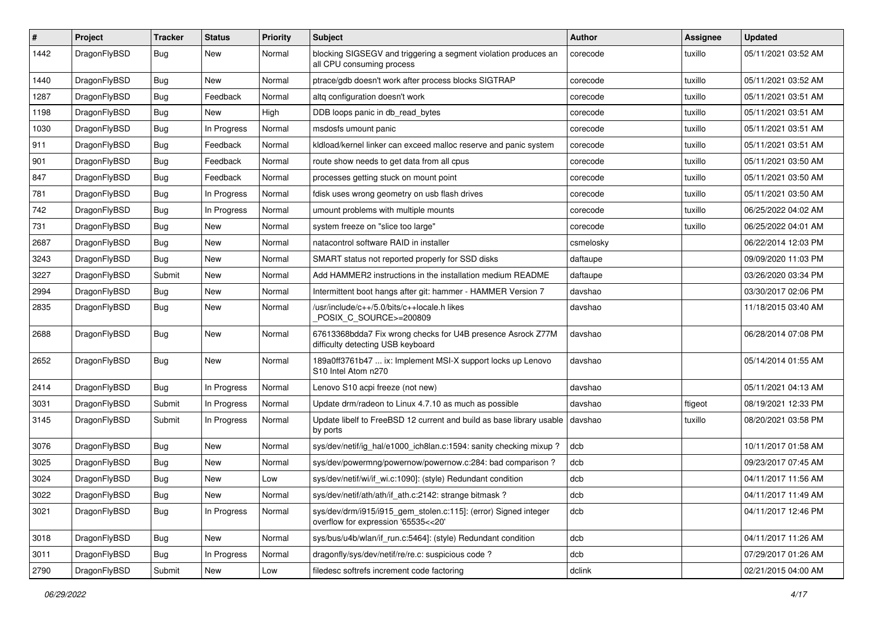| ∦    | Project      | <b>Tracker</b> | <b>Status</b> | <b>Priority</b> | Subject                                                                                                | Author    | <b>Assignee</b> | <b>Updated</b>      |
|------|--------------|----------------|---------------|-----------------|--------------------------------------------------------------------------------------------------------|-----------|-----------------|---------------------|
| 1442 | DragonFlyBSD | <b>Bug</b>     | New           | Normal          | blocking SIGSEGV and triggering a segment violation produces an<br>all CPU consuming process           | corecode  | tuxillo         | 05/11/2021 03:52 AM |
| 1440 | DragonFlyBSD | <b>Bug</b>     | New           | Normal          | ptrace/gdb doesn't work after process blocks SIGTRAP                                                   | corecode  | tuxillo         | 05/11/2021 03:52 AM |
| 1287 | DragonFlyBSD | Bug            | Feedback      | Normal          | altg configuration doesn't work                                                                        | corecode  | tuxillo         | 05/11/2021 03:51 AM |
| 1198 | DragonFlyBSD | <b>Bug</b>     | New           | High            | DDB loops panic in db_read_bytes                                                                       | corecode  | tuxillo         | 05/11/2021 03:51 AM |
| 1030 | DragonFlyBSD | <b>Bug</b>     | In Progress   | Normal          | msdosfs umount panic                                                                                   | corecode  | tuxillo         | 05/11/2021 03:51 AM |
| 911  | DragonFlyBSD | Bug            | Feedback      | Normal          | kldload/kernel linker can exceed malloc reserve and panic system                                       | corecode  | tuxillo         | 05/11/2021 03:51 AM |
| 901  | DragonFlyBSD | <b>Bug</b>     | Feedback      | Normal          | route show needs to get data from all cpus                                                             | corecode  | tuxillo         | 05/11/2021 03:50 AM |
| 847  | DragonFlyBSD | <b>Bug</b>     | Feedback      | Normal          | processes getting stuck on mount point                                                                 | corecode  | tuxillo         | 05/11/2021 03:50 AM |
| 781  | DragonFlyBSD | <b>Bug</b>     | In Progress   | Normal          | fdisk uses wrong geometry on usb flash drives                                                          | corecode  | tuxillo         | 05/11/2021 03:50 AM |
| 742  | DragonFlyBSD | <b>Bug</b>     | In Progress   | Normal          | umount problems with multiple mounts                                                                   | corecode  | tuxillo         | 06/25/2022 04:02 AM |
| 731  | DragonFlyBSD | Bug            | New           | Normal          | system freeze on "slice too large"                                                                     | corecode  | tuxillo         | 06/25/2022 04:01 AM |
| 2687 | DragonFlyBSD | Bug            | New           | Normal          | natacontrol software RAID in installer                                                                 | csmelosky |                 | 06/22/2014 12:03 PM |
| 3243 | DragonFlyBSD | Bug            | New           | Normal          | SMART status not reported properly for SSD disks                                                       | daftaupe  |                 | 09/09/2020 11:03 PM |
| 3227 | DragonFlyBSD | Submit         | New           | Normal          | Add HAMMER2 instructions in the installation medium README                                             | daftaupe  |                 | 03/26/2020 03:34 PM |
| 2994 | DragonFlyBSD | <b>Bug</b>     | New           | Normal          | Intermittent boot hangs after git: hammer - HAMMER Version 7                                           | davshao   |                 | 03/30/2017 02:06 PM |
| 2835 | DragonFlyBSD | Bug            | New           | Normal          | /usr/include/c++/5.0/bits/c++locale.h likes<br>POSIX C_SOURCE>=200809                                  | davshao   |                 | 11/18/2015 03:40 AM |
| 2688 | DragonFlyBSD | Bug            | <b>New</b>    | Normal          | 67613368bdda7 Fix wrong checks for U4B presence Asrock Z77M<br>difficulty detecting USB keyboard       | davshao   |                 | 06/28/2014 07:08 PM |
| 2652 | DragonFlyBSD | Bug            | New           | Normal          | 189a0ff3761b47  ix: Implement MSI-X support locks up Lenovo<br>S10 Intel Atom n270                     | davshao   |                 | 05/14/2014 01:55 AM |
| 2414 | DragonFlyBSD | Bug            | In Progress   | Normal          | Lenovo S10 acpi freeze (not new)                                                                       | davshao   |                 | 05/11/2021 04:13 AM |
| 3031 | DragonFlyBSD | Submit         | In Progress   | Normal          | Update drm/radeon to Linux 4.7.10 as much as possible                                                  | davshao   | ftigeot         | 08/19/2021 12:33 PM |
| 3145 | DragonFlyBSD | Submit         | In Progress   | Normal          | Update libelf to FreeBSD 12 current and build as base library usable<br>by ports                       | davshao   | tuxillo         | 08/20/2021 03:58 PM |
| 3076 | DragonFlyBSD | <b>Bug</b>     | New           | Normal          | sys/dev/netif/ig hal/e1000 ich8lan.c:1594: sanity checking mixup?                                      | dcb       |                 | 10/11/2017 01:58 AM |
| 3025 | DragonFlyBSD | <b>Bug</b>     | <b>New</b>    | Normal          | sys/dev/powermng/powernow/powernow.c:284: bad comparison?                                              | dcb       |                 | 09/23/2017 07:45 AM |
| 3024 | DragonFlyBSD | <b>Bug</b>     | New           | Low             | sys/dev/netif/wi/if_wi.c:1090]: (style) Redundant condition                                            | dcb       |                 | 04/11/2017 11:56 AM |
| 3022 | DragonFlyBSD | <b>Bug</b>     | New           | Normal          | sys/dev/netif/ath/ath/if_ath.c:2142: strange bitmask?                                                  | dcb       |                 | 04/11/2017 11:49 AM |
| 3021 | DragonFlyBSD | <b>Bug</b>     | In Progress   | Normal          | sys/dev/drm/i915/i915_gem_stolen.c:115]: (error) Signed integer<br>overflow for expression '65535<<20' | dcb       |                 | 04/11/2017 12:46 PM |
| 3018 | DragonFlyBSD | <b>Bug</b>     | New           | Normal          | sys/bus/u4b/wlan/if_run.c:5464]: (style) Redundant condition                                           | dcb       |                 | 04/11/2017 11:26 AM |
| 3011 | DragonFlyBSD | <b>Bug</b>     | In Progress   | Normal          | dragonfly/sys/dev/netif/re/re.c: suspicious code?                                                      | dcb       |                 | 07/29/2017 01:26 AM |
| 2790 | DragonFlyBSD | Submit         | New           | Low             | filedesc softrefs increment code factoring                                                             | dclink    |                 | 02/21/2015 04:00 AM |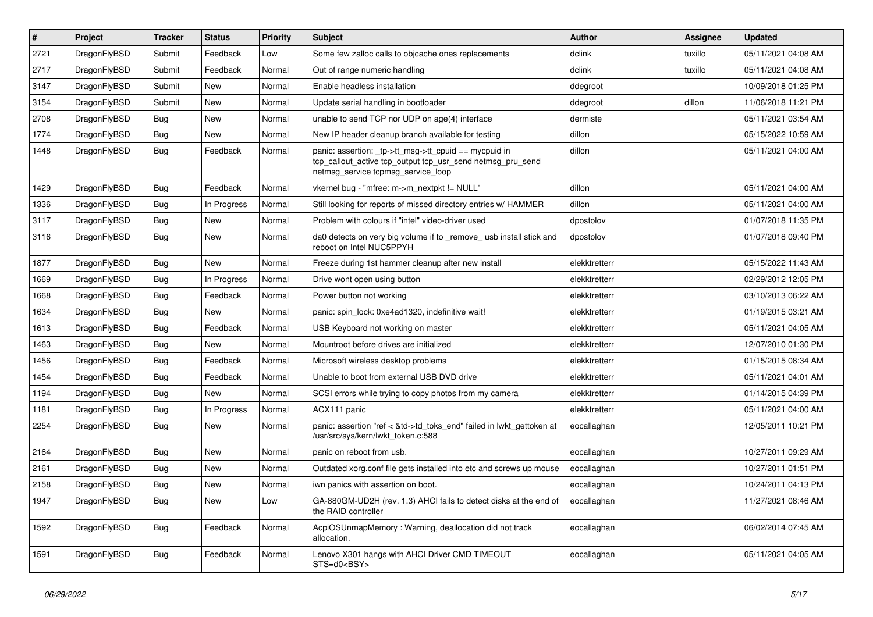| $\vert$ # | Project      | <b>Tracker</b> | <b>Status</b> | <b>Priority</b> | <b>Subject</b>                                                                                                                                            | <b>Author</b> | <b>Assignee</b> | <b>Updated</b>      |
|-----------|--------------|----------------|---------------|-----------------|-----------------------------------------------------------------------------------------------------------------------------------------------------------|---------------|-----------------|---------------------|
| 2721      | DragonFlyBSD | Submit         | Feedback      | Low             | Some few zalloc calls to objcache ones replacements                                                                                                       | dclink        | tuxillo         | 05/11/2021 04:08 AM |
| 2717      | DragonFlyBSD | Submit         | Feedback      | Normal          | Out of range numeric handling                                                                                                                             | dclink        | tuxillo         | 05/11/2021 04:08 AM |
| 3147      | DragonFlyBSD | Submit         | <b>New</b>    | Normal          | Enable headless installation                                                                                                                              | ddegroot      |                 | 10/09/2018 01:25 PM |
| 3154      | DragonFlyBSD | Submit         | <b>New</b>    | Normal          | Update serial handling in bootloader                                                                                                                      | ddegroot      | dillon          | 11/06/2018 11:21 PM |
| 2708      | DragonFlyBSD | Bug            | <b>New</b>    | Normal          | unable to send TCP nor UDP on age(4) interface                                                                                                            | dermiste      |                 | 05/11/2021 03:54 AM |
| 1774      | DragonFlyBSD | <b>Bug</b>     | New           | Normal          | New IP header cleanup branch available for testing                                                                                                        | dillon        |                 | 05/15/2022 10:59 AM |
| 1448      | DragonFlyBSD | Bug            | Feedback      | Normal          | panic: assertion: _tp->tt_msg->tt_cpuid == mycpuid in<br>tcp_callout_active tcp_output tcp_usr_send netmsg_pru_send<br>netmsg_service tcpmsg_service_loop | dillon        |                 | 05/11/2021 04:00 AM |
| 1429      | DragonFlyBSD | Bug            | Feedback      | Normal          | vkernel bug - "mfree: m->m_nextpkt != NULL"                                                                                                               | dillon        |                 | 05/11/2021 04:00 AM |
| 1336      | DragonFlyBSD | <b>Bug</b>     | In Progress   | Normal          | Still looking for reports of missed directory entries w/ HAMMER                                                                                           | dillon        |                 | 05/11/2021 04:00 AM |
| 3117      | DragonFlyBSD | <b>Bug</b>     | <b>New</b>    | Normal          | Problem with colours if "intel" video-driver used                                                                                                         | dpostolov     |                 | 01/07/2018 11:35 PM |
| 3116      | DragonFlyBSD | Bug            | <b>New</b>    | Normal          | da0 detects on very big volume if to _remove_ usb install stick and<br>reboot on Intel NUC5PPYH                                                           | dpostolov     |                 | 01/07/2018 09:40 PM |
| 1877      | DragonFlyBSD | Bug            | <b>New</b>    | Normal          | Freeze during 1st hammer cleanup after new install                                                                                                        | elekktretterr |                 | 05/15/2022 11:43 AM |
| 1669      | DragonFlyBSD | <b>Bug</b>     | In Progress   | Normal          | Drive wont open using button                                                                                                                              | elekktretterr |                 | 02/29/2012 12:05 PM |
| 1668      | DragonFlyBSD | <b>Bug</b>     | Feedback      | Normal          | Power button not working                                                                                                                                  | elekktretterr |                 | 03/10/2013 06:22 AM |
| 1634      | DragonFlyBSD | <b>Bug</b>     | <b>New</b>    | Normal          | panic: spin_lock: 0xe4ad1320, indefinitive wait!                                                                                                          | elekktretterr |                 | 01/19/2015 03:21 AM |
| 1613      | DragonFlyBSD | <b>Bug</b>     | Feedback      | Normal          | USB Keyboard not working on master                                                                                                                        | elekktretterr |                 | 05/11/2021 04:05 AM |
| 1463      | DragonFlyBSD | Bug            | <b>New</b>    | Normal          | Mountroot before drives are initialized                                                                                                                   | elekktretterr |                 | 12/07/2010 01:30 PM |
| 1456      | DragonFlyBSD | <b>Bug</b>     | Feedback      | Normal          | Microsoft wireless desktop problems                                                                                                                       | elekktretterr |                 | 01/15/2015 08:34 AM |
| 1454      | DragonFlyBSD | <b>Bug</b>     | Feedback      | Normal          | Unable to boot from external USB DVD drive                                                                                                                | elekktretterr |                 | 05/11/2021 04:01 AM |
| 1194      | DragonFlyBSD | <b>Bug</b>     | <b>New</b>    | Normal          | SCSI errors while trying to copy photos from my camera                                                                                                    | elekktretterr |                 | 01/14/2015 04:39 PM |
| 1181      | DragonFlyBSD | <b>Bug</b>     | In Progress   | Normal          | ACX111 panic                                                                                                                                              | elekktretterr |                 | 05/11/2021 04:00 AM |
| 2254      | DragonFlyBSD | Bug            | New           | Normal          | panic: assertion "ref < &td->td_toks_end" failed in lwkt_gettoken at<br>/usr/src/sys/kern/lwkt_token.c:588                                                | eocallaghan   |                 | 12/05/2011 10:21 PM |
| 2164      | DragonFlyBSD | Bug            | <b>New</b>    | Normal          | panic on reboot from usb.                                                                                                                                 | eocallaghan   |                 | 10/27/2011 09:29 AM |
| 2161      | DragonFlyBSD | Bug            | New           | Normal          | Outdated xorg.conf file gets installed into etc and screws up mouse                                                                                       | eocallaghan   |                 | 10/27/2011 01:51 PM |
| 2158      | DragonFlyBSD | Bug            | <b>New</b>    | Normal          | iwn panics with assertion on boot.                                                                                                                        | eocallaghan   |                 | 10/24/2011 04:13 PM |
| 1947      | DragonFlyBSD | <b>Bug</b>     | New           | Low             | GA-880GM-UD2H (rev. 1.3) AHCI fails to detect disks at the end of<br>the RAID controller                                                                  | eocallaghan   |                 | 11/27/2021 08:46 AM |
| 1592      | DragonFlyBSD | <b>Bug</b>     | Feedback      | Normal          | AcpiOSUnmapMemory: Warning, deallocation did not track<br>allocation.                                                                                     | eocallaghan   |                 | 06/02/2014 07:45 AM |
| 1591      | DragonFlyBSD | <b>Bug</b>     | Feedback      | Normal          | Lenovo X301 hangs with AHCI Driver CMD TIMEOUT<br>STS=d0 <bsy></bsy>                                                                                      | eocallaghan   |                 | 05/11/2021 04:05 AM |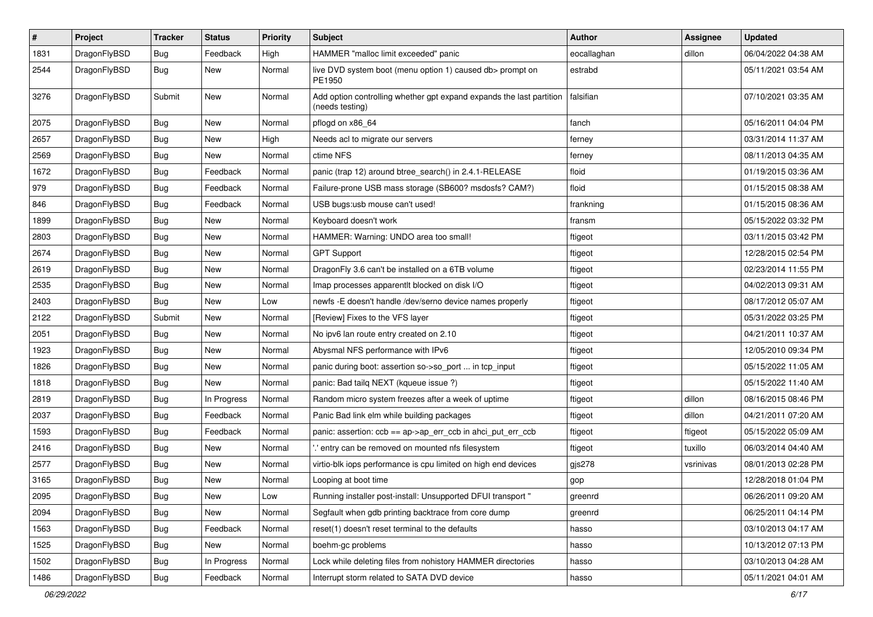| $\pmb{\#}$ | Project      | <b>Tracker</b> | <b>Status</b> | <b>Priority</b> | Subject                                                                                 | <b>Author</b> | Assignee  | <b>Updated</b>      |
|------------|--------------|----------------|---------------|-----------------|-----------------------------------------------------------------------------------------|---------------|-----------|---------------------|
| 1831       | DragonFlyBSD | Bug            | Feedback      | High            | HAMMER "malloc limit exceeded" panic                                                    | eocallaghan   | dillon    | 06/04/2022 04:38 AM |
| 2544       | DragonFlyBSD | Bug            | New           | Normal          | live DVD system boot (menu option 1) caused db> prompt on<br>PE1950                     | estrabd       |           | 05/11/2021 03:54 AM |
| 3276       | DragonFlyBSD | Submit         | <b>New</b>    | Normal          | Add option controlling whether gpt expand expands the last partition<br>(needs testing) | falsifian     |           | 07/10/2021 03:35 AM |
| 2075       | DragonFlyBSD | <b>Bug</b>     | <b>New</b>    | Normal          | pflogd on x86_64                                                                        | fanch         |           | 05/16/2011 04:04 PM |
| 2657       | DragonFlyBSD | Bug            | <b>New</b>    | High            | Needs acl to migrate our servers                                                        | ferney        |           | 03/31/2014 11:37 AM |
| 2569       | DragonFlyBSD | Bug            | New           | Normal          | ctime NFS                                                                               | ferney        |           | 08/11/2013 04:35 AM |
| 1672       | DragonFlyBSD | Bug            | Feedback      | Normal          | panic (trap 12) around btree_search() in 2.4.1-RELEASE                                  | floid         |           | 01/19/2015 03:36 AM |
| 979        | DragonFlyBSD | Bug            | Feedback      | Normal          | Failure-prone USB mass storage (SB600? msdosfs? CAM?)                                   | floid         |           | 01/15/2015 08:38 AM |
| 846        | DragonFlyBSD | Bug            | Feedback      | Normal          | USB bugs:usb mouse can't used!                                                          | frankning     |           | 01/15/2015 08:36 AM |
| 1899       | DragonFlyBSD | <b>Bug</b>     | <b>New</b>    | Normal          | Keyboard doesn't work                                                                   | fransm        |           | 05/15/2022 03:32 PM |
| 2803       | DragonFlyBSD | <b>Bug</b>     | <b>New</b>    | Normal          | HAMMER: Warning: UNDO area too small!                                                   | ftigeot       |           | 03/11/2015 03:42 PM |
| 2674       | DragonFlyBSD | Bug            | New           | Normal          | <b>GPT Support</b>                                                                      | ftigeot       |           | 12/28/2015 02:54 PM |
| 2619       | DragonFlyBSD | Bug            | <b>New</b>    | Normal          | DragonFly 3.6 can't be installed on a 6TB volume                                        | ftigeot       |           | 02/23/2014 11:55 PM |
| 2535       | DragonFlyBSD | Bug            | <b>New</b>    | Normal          | Imap processes apparentlt blocked on disk I/O                                           | ftigeot       |           | 04/02/2013 09:31 AM |
| 2403       | DragonFlyBSD | Bug            | <b>New</b>    | Low             | newfs -E doesn't handle /dev/serno device names properly                                | ftigeot       |           | 08/17/2012 05:07 AM |
| 2122       | DragonFlyBSD | Submit         | <b>New</b>    | Normal          | [Review] Fixes to the VFS layer                                                         | ftigeot       |           | 05/31/2022 03:25 PM |
| 2051       | DragonFlyBSD | <b>Bug</b>     | New           | Normal          | No ipv6 lan route entry created on 2.10                                                 | ftigeot       |           | 04/21/2011 10:37 AM |
| 1923       | DragonFlyBSD | Bug            | <b>New</b>    | Normal          | Abysmal NFS performance with IPv6                                                       | ftigeot       |           | 12/05/2010 09:34 PM |
| 1826       | DragonFlyBSD | Bug            | New           | Normal          | panic during boot: assertion so->so_port  in tcp_input                                  | ftigeot       |           | 05/15/2022 11:05 AM |
| 1818       | DragonFlyBSD | Bug            | New           | Normal          | panic: Bad tailq NEXT (kqueue issue ?)                                                  | ftigeot       |           | 05/15/2022 11:40 AM |
| 2819       | DragonFlyBSD | Bug            | In Progress   | Normal          | Random micro system freezes after a week of uptime                                      | ftigeot       | dillon    | 08/16/2015 08:46 PM |
| 2037       | DragonFlyBSD | Bug            | Feedback      | Normal          | Panic Bad link elm while building packages                                              | ftigeot       | dillon    | 04/21/2011 07:20 AM |
| 1593       | DragonFlyBSD | Bug            | Feedback      | Normal          | panic: assertion: ccb == ap->ap_err_ccb in ahci_put_err_ccb                             | ftigeot       | ftigeot   | 05/15/2022 05:09 AM |
| 2416       | DragonFlyBSD | <b>Bug</b>     | <b>New</b>    | Normal          | ".' entry can be removed on mounted nfs filesystem                                      | ftigeot       | tuxillo   | 06/03/2014 04:40 AM |
| 2577       | DragonFlyBSD | Bug            | New           | Normal          | virtio-blk iops performance is cpu limited on high end devices                          | gjs278        | vsrinivas | 08/01/2013 02:28 PM |
| 3165       | DragonFlyBSD | Bug            | New           | Normal          | Looping at boot time                                                                    | gop           |           | 12/28/2018 01:04 PM |
| 2095       | DragonFlyBSD | <b>Bug</b>     | New           | Low             | Running installer post-install: Unsupported DFUI transport "                            | greenrd       |           | 06/26/2011 09:20 AM |
| 2094       | DragonFlyBSD | <b>Bug</b>     | New           | Normal          | Segfault when gdb printing backtrace from core dump                                     | greenrd       |           | 06/25/2011 04:14 PM |
| 1563       | DragonFlyBSD | Bug            | Feedback      | Normal          | reset(1) doesn't reset terminal to the defaults                                         | hasso         |           | 03/10/2013 04:17 AM |
| 1525       | DragonFlyBSD | Bug            | New           | Normal          | boehm-gc problems                                                                       | hasso         |           | 10/13/2012 07:13 PM |
| 1502       | DragonFlyBSD | <b>Bug</b>     | In Progress   | Normal          | Lock while deleting files from nohistory HAMMER directories                             | hasso         |           | 03/10/2013 04:28 AM |
| 1486       | DragonFlyBSD | Bug            | Feedback      | Normal          | Interrupt storm related to SATA DVD device                                              | hasso         |           | 05/11/2021 04:01 AM |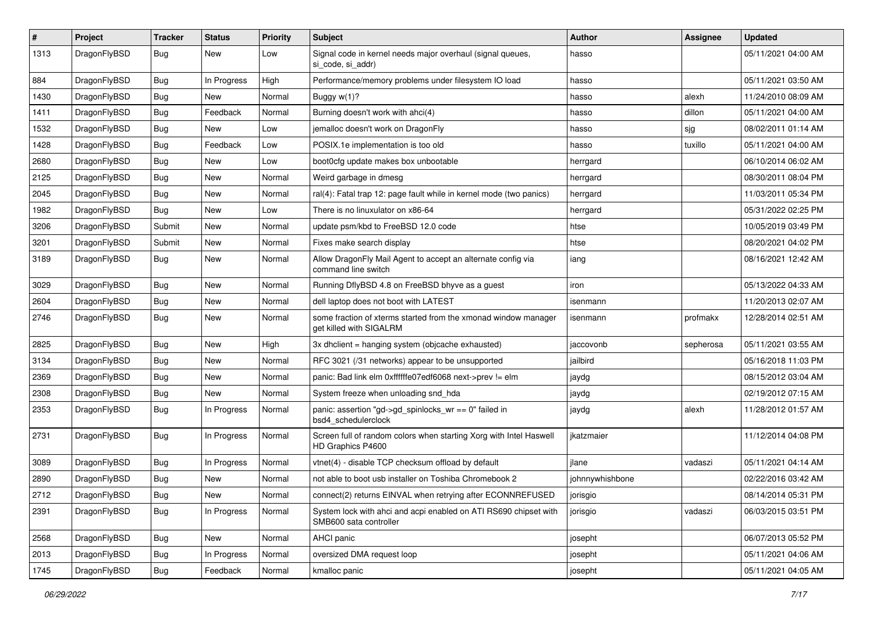| #    | Project      | <b>Tracker</b> | <b>Status</b> | <b>Priority</b> | Subject                                                                                    | <b>Author</b>   | <b>Assignee</b> | <b>Updated</b>      |
|------|--------------|----------------|---------------|-----------------|--------------------------------------------------------------------------------------------|-----------------|-----------------|---------------------|
| 1313 | DragonFlyBSD | <b>Bug</b>     | New           | Low             | Signal code in kernel needs major overhaul (signal queues,<br>si code, si addr)            | hasso           |                 | 05/11/2021 04:00 AM |
| 884  | DragonFlyBSD | <b>Bug</b>     | In Progress   | High            | Performance/memory problems under filesystem IO load                                       | hasso           |                 | 05/11/2021 03:50 AM |
| 1430 | DragonFlyBSD | <b>Bug</b>     | New           | Normal          | Buggy $w(1)$ ?                                                                             | hasso           | alexh           | 11/24/2010 08:09 AM |
| 1411 | DragonFlyBSD | <b>Bug</b>     | Feedback      | Normal          | Burning doesn't work with ahci(4)                                                          | hasso           | dillon          | 05/11/2021 04:00 AM |
| 1532 | DragonFlyBSD | <b>Bug</b>     | New           | Low             | jemalloc doesn't work on DragonFly                                                         | hasso           | sjg             | 08/02/2011 01:14 AM |
| 1428 | DragonFlyBSD | Bug            | Feedback      | Low             | POSIX.1e implementation is too old                                                         | hasso           | tuxillo         | 05/11/2021 04:00 AM |
| 2680 | DragonFlyBSD | <b>Bug</b>     | New           | Low             | boot0cfg update makes box unbootable                                                       | herrgard        |                 | 06/10/2014 06:02 AM |
| 2125 | DragonFlyBSD | <b>Bug</b>     | New           | Normal          | Weird garbage in dmesg                                                                     | herrgard        |                 | 08/30/2011 08:04 PM |
| 2045 | DragonFlyBSD | Bug            | <b>New</b>    | Normal          | ral(4): Fatal trap 12: page fault while in kernel mode (two panics)                        | herrgard        |                 | 11/03/2011 05:34 PM |
| 1982 | DragonFlyBSD | <b>Bug</b>     | New           | Low             | There is no linuxulator on x86-64                                                          | herrgard        |                 | 05/31/2022 02:25 PM |
| 3206 | DragonFlyBSD | Submit         | New           | Normal          | update psm/kbd to FreeBSD 12.0 code                                                        | htse            |                 | 10/05/2019 03:49 PM |
| 3201 | DragonFlyBSD | Submit         | New           | Normal          | Fixes make search display                                                                  | htse            |                 | 08/20/2021 04:02 PM |
| 3189 | DragonFlyBSD | <b>Bug</b>     | New           | Normal          | Allow DragonFly Mail Agent to accept an alternate config via<br>command line switch        | iang            |                 | 08/16/2021 12:42 AM |
| 3029 | DragonFlyBSD | <b>Bug</b>     | New           | Normal          | Running DflyBSD 4.8 on FreeBSD bhyve as a guest                                            | iron            |                 | 05/13/2022 04:33 AM |
| 2604 | DragonFlyBSD | <b>Bug</b>     | New           | Normal          | dell laptop does not boot with LATEST                                                      | isenmann        |                 | 11/20/2013 02:07 AM |
| 2746 | DragonFlyBSD | Bug            | <b>New</b>    | Normal          | some fraction of xterms started from the xmonad window manager<br>get killed with SIGALRM  | isenmann        | profmakx        | 12/28/2014 02:51 AM |
| 2825 | DragonFlyBSD | Bug            | <b>New</b>    | High            | 3x dhclient = hanging system (objcache exhausted)                                          | jaccovonb       | sepherosa       | 05/11/2021 03:55 AM |
| 3134 | DragonFlyBSD | Bug            | <b>New</b>    | Normal          | RFC 3021 (/31 networks) appear to be unsupported                                           | jailbird        |                 | 05/16/2018 11:03 PM |
| 2369 | DragonFlyBSD | <b>Bug</b>     | New           | Normal          | panic: Bad link elm 0xffffffe07edf6068 next->prev != elm                                   | jaydg           |                 | 08/15/2012 03:04 AM |
| 2308 | DragonFlyBSD | Bug            | New           | Normal          | System freeze when unloading snd_hda                                                       | jaydg           |                 | 02/19/2012 07:15 AM |
| 2353 | DragonFlyBSD | <b>Bug</b>     | In Progress   | Normal          | panic: assertion "gd->gd_spinlocks_wr == 0" failed in<br>bsd4_schedulerclock               | jaydg           | alexh           | 11/28/2012 01:57 AM |
| 2731 | DragonFlyBSD | <b>Bug</b>     | In Progress   | Normal          | Screen full of random colors when starting Xorg with Intel Haswell<br>HD Graphics P4600    | jkatzmaier      |                 | 11/12/2014 04:08 PM |
| 3089 | DragonFlyBSD | <b>Bug</b>     | In Progress   | Normal          | vtnet(4) - disable TCP checksum offload by default                                         | jlane           | vadaszi         | 05/11/2021 04:14 AM |
| 2890 | DragonFlyBSD | <b>Bug</b>     | New           | Normal          | not able to boot usb installer on Toshiba Chromebook 2                                     | johnnywhishbone |                 | 02/22/2016 03:42 AM |
| 2712 | DragonFlyBSD | <b>Bug</b>     | New           | Normal          | connect(2) returns EINVAL when retrying after ECONNREFUSED                                 | jorisgio        |                 | 08/14/2014 05:31 PM |
| 2391 | DragonFlyBSD | <b>Bug</b>     | In Progress   | Normal          | System lock with ahci and acpi enabled on ATI RS690 chipset with<br>SMB600 sata controller | jorisgio        | vadaszi         | 06/03/2015 03:51 PM |
| 2568 | DragonFlyBSD | <b>Bug</b>     | New           | Normal          | AHCI panic                                                                                 | josepht         |                 | 06/07/2013 05:52 PM |
| 2013 | DragonFlyBSD | Bug            | In Progress   | Normal          | oversized DMA request loop                                                                 | josepht         |                 | 05/11/2021 04:06 AM |
| 1745 | DragonFlyBSD | <b>Bug</b>     | Feedback      | Normal          | kmalloc panic                                                                              | josepht         |                 | 05/11/2021 04:05 AM |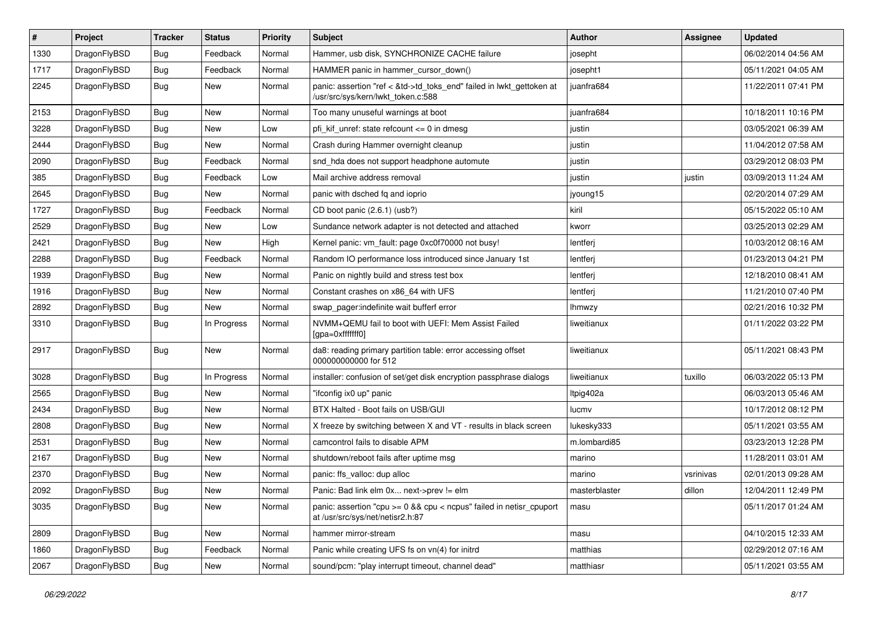| $\vert$ # | Project      | <b>Tracker</b> | <b>Status</b> | <b>Priority</b> | Subject                                                                                                    | Author        | Assignee  | <b>Updated</b>      |
|-----------|--------------|----------------|---------------|-----------------|------------------------------------------------------------------------------------------------------------|---------------|-----------|---------------------|
| 1330      | DragonFlyBSD | <b>Bug</b>     | Feedback      | Normal          | Hammer, usb disk, SYNCHRONIZE CACHE failure                                                                | josepht       |           | 06/02/2014 04:56 AM |
| 1717      | DragonFlyBSD | <b>Bug</b>     | Feedback      | Normal          | HAMMER panic in hammer_cursor_down()                                                                       | josepht1      |           | 05/11/2021 04:05 AM |
| 2245      | DragonFlyBSD | <b>Bug</b>     | New           | Normal          | panic: assertion "ref < &td->td_toks_end" failed in lwkt_gettoken at<br>/usr/src/sys/kern/lwkt_token.c:588 | juanfra684    |           | 11/22/2011 07:41 PM |
| 2153      | DragonFlyBSD | <b>Bug</b>     | <b>New</b>    | Normal          | Too many unuseful warnings at boot                                                                         | juanfra684    |           | 10/18/2011 10:16 PM |
| 3228      | DragonFlyBSD | <b>Bug</b>     | New           | Low             | pfi kif unref: state refcount $\leq$ 0 in dmesg                                                            | justin        |           | 03/05/2021 06:39 AM |
| 2444      | DragonFlyBSD | Bug            | <b>New</b>    | Normal          | Crash during Hammer overnight cleanup                                                                      | justin        |           | 11/04/2012 07:58 AM |
| 2090      | DragonFlyBSD | <b>Bug</b>     | Feedback      | Normal          | snd_hda does not support headphone automute                                                                | justin        |           | 03/29/2012 08:03 PM |
| 385       | DragonFlyBSD | <b>Bug</b>     | Feedback      | Low             | Mail archive address removal                                                                               | justin        | justin    | 03/09/2013 11:24 AM |
| 2645      | DragonFlyBSD | <b>Bug</b>     | New           | Normal          | panic with dsched fq and ioprio                                                                            | jyoung15      |           | 02/20/2014 07:29 AM |
| 1727      | DragonFlyBSD | <b>Bug</b>     | Feedback      | Normal          | CD boot panic (2.6.1) (usb?)                                                                               | kiril         |           | 05/15/2022 05:10 AM |
| 2529      | DragonFlyBSD | Bug            | New           | Low             | Sundance network adapter is not detected and attached                                                      | kworr         |           | 03/25/2013 02:29 AM |
| 2421      | DragonFlyBSD | Bug            | New           | High            | Kernel panic: vm_fault: page 0xc0f70000 not busy!                                                          | lentferj      |           | 10/03/2012 08:16 AM |
| 2288      | DragonFlyBSD | Bug            | Feedback      | Normal          | Random IO performance loss introduced since January 1st                                                    | lentferj      |           | 01/23/2013 04:21 PM |
| 1939      | DragonFlyBSD | <b>Bug</b>     | New           | Normal          | Panic on nightly build and stress test box                                                                 | lentferj      |           | 12/18/2010 08:41 AM |
| 1916      | DragonFlyBSD | <b>Bug</b>     | New           | Normal          | Constant crashes on x86_64 with UFS                                                                        | lentferj      |           | 11/21/2010 07:40 PM |
| 2892      | DragonFlyBSD | Bug            | New           | Normal          | swap pager:indefinite wait bufferf error                                                                   | <b>Ihmwzy</b> |           | 02/21/2016 10:32 PM |
| 3310      | DragonFlyBSD | Bug            | In Progress   | Normal          | NVMM+QEMU fail to boot with UEFI: Mem Assist Failed<br>[gpa=0xfffffff0]                                    | liweitianux   |           | 01/11/2022 03:22 PM |
| 2917      | DragonFlyBSD | Bug            | New           | Normal          | da8: reading primary partition table: error accessing offset<br>000000000000 for 512                       | liweitianux   |           | 05/11/2021 08:43 PM |
| 3028      | DragonFlyBSD | <b>Bug</b>     | In Progress   | Normal          | installer: confusion of set/get disk encryption passphrase dialogs                                         | liweitianux   | tuxillo   | 06/03/2022 05:13 PM |
| 2565      | DragonFlyBSD | <b>Bug</b>     | <b>New</b>    | Normal          | "ifconfig ix0 up" panic                                                                                    | Itpig402a     |           | 06/03/2013 05:46 AM |
| 2434      | DragonFlyBSD | <b>Bug</b>     | New           | Normal          | BTX Halted - Boot fails on USB/GUI                                                                         | lucmv         |           | 10/17/2012 08:12 PM |
| 2808      | DragonFlyBSD | Bug            | New           | Normal          | X freeze by switching between X and VT - results in black screen                                           | lukesky333    |           | 05/11/2021 03:55 AM |
| 2531      | DragonFlyBSD | Bug            | <b>New</b>    | Normal          | camcontrol fails to disable APM                                                                            | m.lombardi85  |           | 03/23/2013 12:28 PM |
| 2167      | DragonFlyBSD | <b>Bug</b>     | New           | Normal          | shutdown/reboot fails after uptime msg                                                                     | marino        |           | 11/28/2011 03:01 AM |
| 2370      | DragonFlyBSD | Bug            | New           | Normal          | panic: ffs_valloc: dup alloc                                                                               | marino        | vsrinivas | 02/01/2013 09:28 AM |
| 2092      | DragonFlyBSD | Bug            | New           | Normal          | Panic: Bad link elm 0x next->prev $!=$ elm                                                                 | masterblaster | dillon    | 12/04/2011 12:49 PM |
| 3035      | DragonFlyBSD | Bug            | New           | Normal          | panic: assertion "cpu >= 0 && cpu < ncpus" failed in netisr_cpuport<br>at /usr/src/sys/net/netisr2.h:87    | masu          |           | 05/11/2017 01:24 AM |
| 2809      | DragonFlyBSD | <b>Bug</b>     | New           | Normal          | hammer mirror-stream                                                                                       | masu          |           | 04/10/2015 12:33 AM |
| 1860      | DragonFlyBSD | <b>Bug</b>     | Feedback      | Normal          | Panic while creating UFS fs on vn(4) for initrd                                                            | matthias      |           | 02/29/2012 07:16 AM |
| 2067      | DragonFlyBSD | <b>Bug</b>     | New           | Normal          | sound/pcm: "play interrupt timeout, channel dead"                                                          | matthiasr     |           | 05/11/2021 03:55 AM |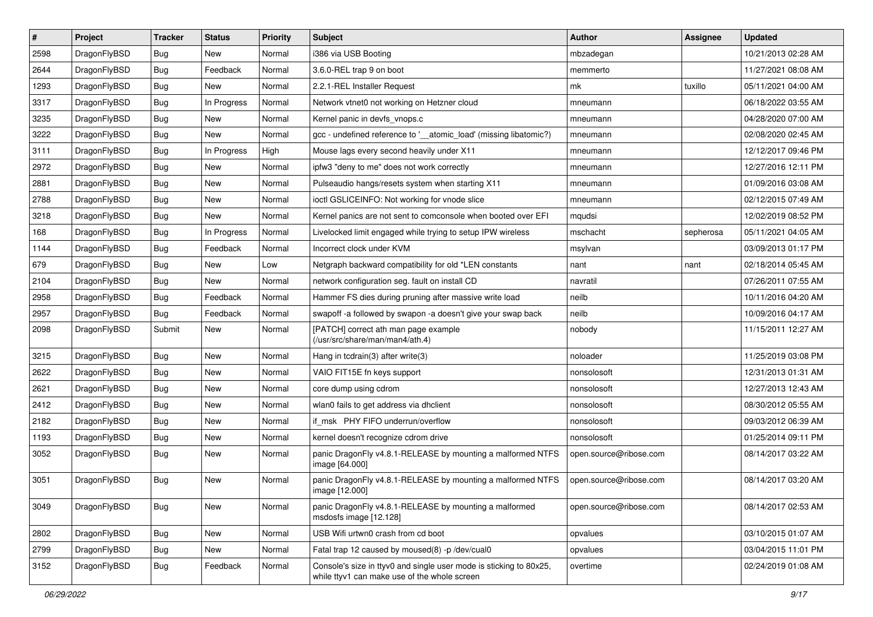| $\sharp$ | Project      | <b>Tracker</b> | <b>Status</b> | <b>Priority</b> | Subject                                                                                                            | <b>Author</b>          | <b>Assignee</b> | <b>Updated</b>      |
|----------|--------------|----------------|---------------|-----------------|--------------------------------------------------------------------------------------------------------------------|------------------------|-----------------|---------------------|
| 2598     | DragonFlyBSD | Bug            | New           | Normal          | i386 via USB Booting                                                                                               | mbzadegan              |                 | 10/21/2013 02:28 AM |
| 2644     | DragonFlyBSD | Bug            | Feedback      | Normal          | 3.6.0-REL trap 9 on boot                                                                                           | memmerto               |                 | 11/27/2021 08:08 AM |
| 1293     | DragonFlyBSD | <b>Bug</b>     | New           | Normal          | 2.2.1-REL Installer Request                                                                                        | mk                     | tuxillo         | 05/11/2021 04:00 AM |
| 3317     | DragonFlyBSD | <b>Bug</b>     | In Progress   | Normal          | Network vtnet0 not working on Hetzner cloud                                                                        | mneumann               |                 | 06/18/2022 03:55 AM |
| 3235     | DragonFlyBSD | Bug            | <b>New</b>    | Normal          | Kernel panic in devfs vnops.c                                                                                      | mneumann               |                 | 04/28/2020 07:00 AM |
| 3222     | DragonFlyBSD | <b>Bug</b>     | New           | Normal          | gcc - undefined reference to '_atomic_load' (missing libatomic?)                                                   | mneumann               |                 | 02/08/2020 02:45 AM |
| 3111     | DragonFlyBSD | <b>Bug</b>     | In Progress   | High            | Mouse lags every second heavily under X11                                                                          | mneumann               |                 | 12/12/2017 09:46 PM |
| 2972     | DragonFlyBSD | <b>Bug</b>     | New           | Normal          | ipfw3 "deny to me" does not work correctly                                                                         | mneumann               |                 | 12/27/2016 12:11 PM |
| 2881     | DragonFlyBSD | <b>Bug</b>     | New           | Normal          | Pulseaudio hangs/resets system when starting X11                                                                   | mneumann               |                 | 01/09/2016 03:08 AM |
| 2788     | DragonFlyBSD | Bug            | <b>New</b>    | Normal          | ioctl GSLICEINFO: Not working for vnode slice                                                                      | mneumann               |                 | 02/12/2015 07:49 AM |
| 3218     | DragonFlyBSD | <b>Bug</b>     | New           | Normal          | Kernel panics are not sent to comconsole when booted over EFI                                                      | mqudsi                 |                 | 12/02/2019 08:52 PM |
| 168      | DragonFlyBSD | <b>Bug</b>     | In Progress   | Normal          | Livelocked limit engaged while trying to setup IPW wireless                                                        | mschacht               | sepherosa       | 05/11/2021 04:05 AM |
| 1144     | DragonFlyBSD | <b>Bug</b>     | Feedback      | Normal          | Incorrect clock under KVM                                                                                          | msylvan                |                 | 03/09/2013 01:17 PM |
| 679      | DragonFlyBSD | <b>Bug</b>     | New           | Low             | Netgraph backward compatibility for old *LEN constants                                                             | nant                   | nant            | 02/18/2014 05:45 AM |
| 2104     | DragonFlyBSD | Bug            | New           | Normal          | network configuration seg. fault on install CD                                                                     | navratil               |                 | 07/26/2011 07:55 AM |
| 2958     | DragonFlyBSD | <b>Bug</b>     | Feedback      | Normal          | Hammer FS dies during pruning after massive write load                                                             | neilb                  |                 | 10/11/2016 04:20 AM |
| 2957     | DragonFlyBSD | <b>Bug</b>     | Feedback      | Normal          | swapoff -a followed by swapon -a doesn't give your swap back                                                       | neilb                  |                 | 10/09/2016 04:17 AM |
| 2098     | DragonFlyBSD | Submit         | New           | Normal          | [PATCH] correct ath man page example<br>(/usr/src/share/man/man4/ath.4)                                            | nobody                 |                 | 11/15/2011 12:27 AM |
| 3215     | DragonFlyBSD | <b>Bug</b>     | <b>New</b>    | Normal          | Hang in tcdrain(3) after write(3)                                                                                  | noloader               |                 | 11/25/2019 03:08 PM |
| 2622     | DragonFlyBSD | <b>Bug</b>     | New           | Normal          | VAIO FIT15E fn keys support                                                                                        | nonsolosoft            |                 | 12/31/2013 01:31 AM |
| 2621     | DragonFlyBSD | <b>Bug</b>     | <b>New</b>    | Normal          | core dump using cdrom                                                                                              | nonsolosoft            |                 | 12/27/2013 12:43 AM |
| 2412     | DragonFlyBSD | <b>Bug</b>     | <b>New</b>    | Normal          | wlan0 fails to get address via dhclient                                                                            | nonsolosoft            |                 | 08/30/2012 05:55 AM |
| 2182     | DragonFlyBSD | Bug            | New           | Normal          | if msk PHY FIFO underrun/overflow                                                                                  | nonsolosoft            |                 | 09/03/2012 06:39 AM |
| 1193     | DragonFlyBSD | <b>Bug</b>     | <b>New</b>    | Normal          | kernel doesn't recognize cdrom drive                                                                               | nonsolosoft            |                 | 01/25/2014 09:11 PM |
| 3052     | DragonFlyBSD | <b>Bug</b>     | <b>New</b>    | Normal          | panic DragonFly v4.8.1-RELEASE by mounting a malformed NTFS<br>image [64.000]                                      | open.source@ribose.com |                 | 08/14/2017 03:22 AM |
| 3051     | DragonFlyBSD | <b>Bug</b>     | New           | Normal          | panic DragonFly v4.8.1-RELEASE by mounting a malformed NTFS<br>image [12.000]                                      | open.source@ribose.com |                 | 08/14/2017 03:20 AM |
| 3049     | DragonFlyBSD | Bug            | <b>New</b>    | Normal          | panic DragonFly v4.8.1-RELEASE by mounting a malformed<br>msdosfs image [12.128]                                   | open.source@ribose.com |                 | 08/14/2017 02:53 AM |
| 2802     | DragonFlyBSD | Bug            | New           | Normal          | USB Wifi urtwn0 crash from cd boot                                                                                 | opvalues               |                 | 03/10/2015 01:07 AM |
| 2799     | DragonFlyBSD | <b>Bug</b>     | New           | Normal          | Fatal trap 12 caused by moused(8) -p /dev/cual0                                                                    | opvalues               |                 | 03/04/2015 11:01 PM |
| 3152     | DragonFlyBSD | Bug            | Feedback      | Normal          | Console's size in ttyv0 and single user mode is sticking to 80x25,<br>while ttyv1 can make use of the whole screen | overtime               |                 | 02/24/2019 01:08 AM |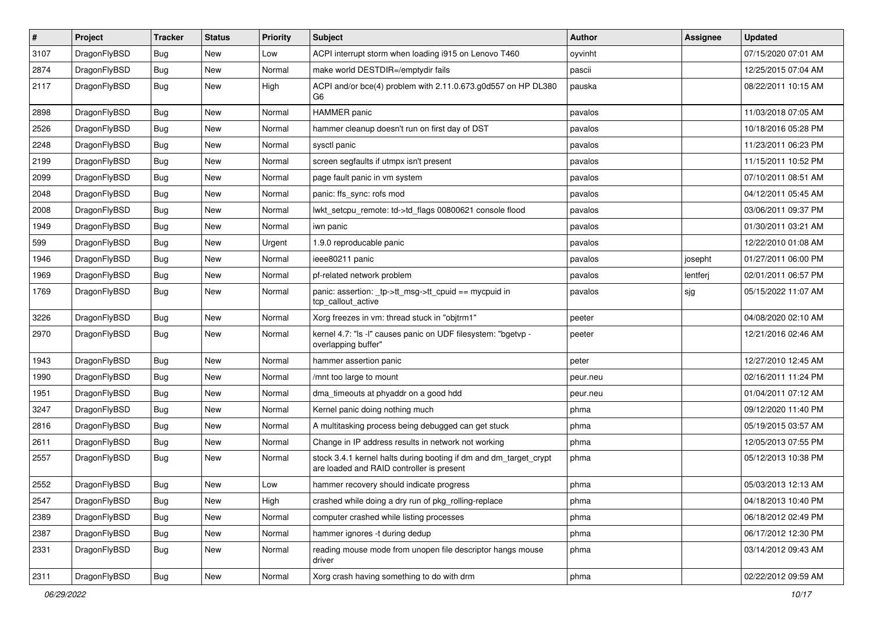| $\vert$ # | Project      | <b>Tracker</b> | <b>Status</b> | <b>Priority</b> | Subject                                                                                                        | <b>Author</b> | <b>Assignee</b> | <b>Updated</b>      |
|-----------|--------------|----------------|---------------|-----------------|----------------------------------------------------------------------------------------------------------------|---------------|-----------------|---------------------|
| 3107      | DragonFlyBSD | Bug            | New           | Low             | ACPI interrupt storm when loading i915 on Lenovo T460                                                          | oyvinht       |                 | 07/15/2020 07:01 AM |
| 2874      | DragonFlyBSD | Bug            | <b>New</b>    | Normal          | make world DESTDIR=/emptydir fails                                                                             | pascii        |                 | 12/25/2015 07:04 AM |
| 2117      | DragonFlyBSD | Bug            | New           | High            | ACPI and/or bce(4) problem with 2.11.0.673.g0d557 on HP DL380<br>G6                                            | pauska        |                 | 08/22/2011 10:15 AM |
| 2898      | DragonFlyBSD | Bug            | <b>New</b>    | Normal          | <b>HAMMER</b> panic                                                                                            | pavalos       |                 | 11/03/2018 07:05 AM |
| 2526      | DragonFlyBSD | Bug            | New           | Normal          | hammer cleanup doesn't run on first day of DST                                                                 | pavalos       |                 | 10/18/2016 05:28 PM |
| 2248      | DragonFlyBSD | Bug            | <b>New</b>    | Normal          | sysctl panic                                                                                                   | pavalos       |                 | 11/23/2011 06:23 PM |
| 2199      | DragonFlyBSD | Bug            | New           | Normal          | screen segfaults if utmpx isn't present                                                                        | pavalos       |                 | 11/15/2011 10:52 PM |
| 2099      | DragonFlyBSD | Bug            | <b>New</b>    | Normal          | page fault panic in vm system                                                                                  | pavalos       |                 | 07/10/2011 08:51 AM |
| 2048      | DragonFlyBSD | Bug            | <b>New</b>    | Normal          | panic: ffs_sync: rofs mod                                                                                      | pavalos       |                 | 04/12/2011 05:45 AM |
| 2008      | DragonFlyBSD | <b>Bug</b>     | <b>New</b>    | Normal          | lwkt setcpu remote: td->td flags 00800621 console flood                                                        | pavalos       |                 | 03/06/2011 09:37 PM |
| 1949      | DragonFlyBSD | Bug            | <b>New</b>    | Normal          | iwn panic                                                                                                      | pavalos       |                 | 01/30/2011 03:21 AM |
| 599       | DragonFlyBSD | Bug            | New           | Urgent          | 1.9.0 reproducable panic                                                                                       | pavalos       |                 | 12/22/2010 01:08 AM |
| 1946      | DragonFlyBSD | Bug            | New           | Normal          | ieee80211 panic                                                                                                | pavalos       | josepht         | 01/27/2011 06:00 PM |
| 1969      | DragonFlyBSD | Bug            | New           | Normal          | pf-related network problem                                                                                     | pavalos       | lentferj        | 02/01/2011 06:57 PM |
| 1769      | DragonFlyBSD | Bug            | New           | Normal          | panic: assertion: _tp->tt_msg->tt_cpuid == mycpuid in<br>tcp_callout_active                                    | pavalos       | sjg             | 05/15/2022 11:07 AM |
| 3226      | DragonFlyBSD | Bug            | New           | Normal          | Xorg freezes in vm: thread stuck in "objtrm1"                                                                  | peeter        |                 | 04/08/2020 02:10 AM |
| 2970      | DragonFlyBSD | Bug            | New           | Normal          | kernel 4.7: "Is -I" causes panic on UDF filesystem: "bgetvp -<br>overlapping buffer"                           | peeter        |                 | 12/21/2016 02:46 AM |
| 1943      | DragonFlyBSD | Bug            | <b>New</b>    | Normal          | hammer assertion panic                                                                                         | peter         |                 | 12/27/2010 12:45 AM |
| 1990      | DragonFlyBSD | Bug            | New           | Normal          | /mnt too large to mount                                                                                        | peur.neu      |                 | 02/16/2011 11:24 PM |
| 1951      | DragonFlyBSD | Bug            | <b>New</b>    | Normal          | dma timeouts at phyaddr on a good hdd                                                                          | peur.neu      |                 | 01/04/2011 07:12 AM |
| 3247      | DragonFlyBSD | Bug            | <b>New</b>    | Normal          | Kernel panic doing nothing much                                                                                | phma          |                 | 09/12/2020 11:40 PM |
| 2816      | DragonFlyBSD | <b>Bug</b>     | <b>New</b>    | Normal          | A multitasking process being debugged can get stuck                                                            | phma          |                 | 05/19/2015 03:57 AM |
| 2611      | DragonFlyBSD | Bug            | <b>New</b>    | Normal          | Change in IP address results in network not working                                                            | phma          |                 | 12/05/2013 07:55 PM |
| 2557      | DragonFlyBSD | Bug            | New           | Normal          | stock 3.4.1 kernel halts during booting if dm and dm_target_crypt<br>are loaded and RAID controller is present | phma          |                 | 05/12/2013 10:38 PM |
| 2552      | DragonFlyBSD | Bug            | New           | Low             | hammer recovery should indicate progress                                                                       | phma          |                 | 05/03/2013 12:13 AM |
| 2547      | DragonFlyBSD | <b>Bug</b>     | New           | High            | crashed while doing a dry run of pkg_rolling-replace                                                           | phma          |                 | 04/18/2013 10:40 PM |
| 2389      | DragonFlyBSD | Bug            | New           | Normal          | computer crashed while listing processes                                                                       | phma          |                 | 06/18/2012 02:49 PM |
| 2387      | DragonFlyBSD | <b>Bug</b>     | New           | Normal          | hammer ignores -t during dedup                                                                                 | phma          |                 | 06/17/2012 12:30 PM |
| 2331      | DragonFlyBSD | Bug            | New           | Normal          | reading mouse mode from unopen file descriptor hangs mouse<br>driver                                           | phma          |                 | 03/14/2012 09:43 AM |
| 2311      | DragonFlyBSD | Bug            | New           | Normal          | Xorg crash having something to do with drm                                                                     | phma          |                 | 02/22/2012 09:59 AM |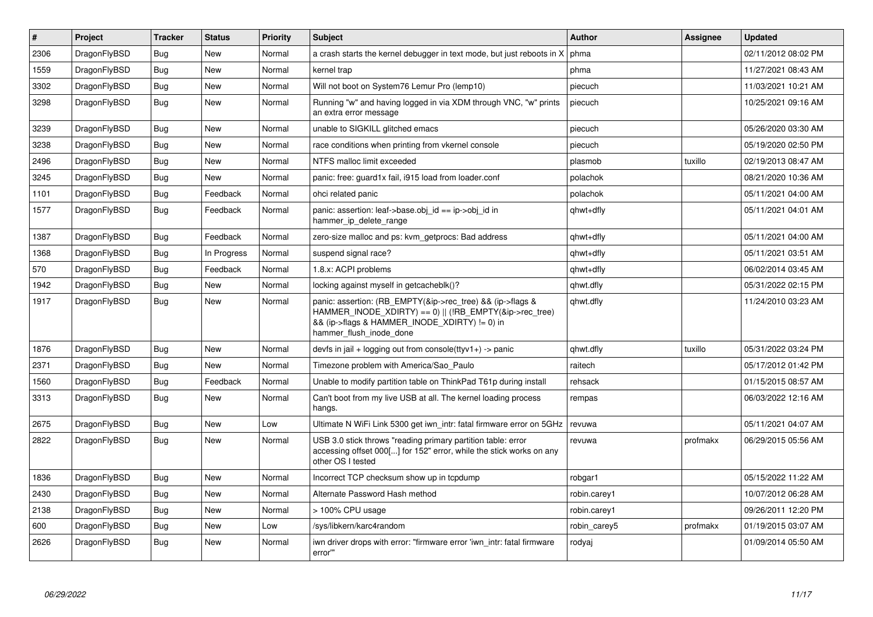| $\vert$ # | Project      | <b>Tracker</b> | <b>Status</b> | <b>Priority</b> | <b>Subject</b>                                                                                                                                                                                    | <b>Author</b> | Assignee | <b>Updated</b>      |
|-----------|--------------|----------------|---------------|-----------------|---------------------------------------------------------------------------------------------------------------------------------------------------------------------------------------------------|---------------|----------|---------------------|
| 2306      | DragonFlyBSD | <b>Bug</b>     | <b>New</b>    | Normal          | a crash starts the kernel debugger in text mode, but just reboots in X                                                                                                                            | phma          |          | 02/11/2012 08:02 PM |
| 1559      | DragonFlyBSD | Bug            | <b>New</b>    | Normal          | kernel trap                                                                                                                                                                                       | phma          |          | 11/27/2021 08:43 AM |
| 3302      | DragonFlyBSD | Bug            | <b>New</b>    | Normal          | Will not boot on System76 Lemur Pro (lemp10)                                                                                                                                                      | piecuch       |          | 11/03/2021 10:21 AM |
| 3298      | DragonFlyBSD | <b>Bug</b>     | <b>New</b>    | Normal          | Running "w" and having logged in via XDM through VNC, "w" prints<br>an extra error message                                                                                                        | piecuch       |          | 10/25/2021 09:16 AM |
| 3239      | DragonFlyBSD | Bug            | <b>New</b>    | Normal          | unable to SIGKILL glitched emacs                                                                                                                                                                  | piecuch       |          | 05/26/2020 03:30 AM |
| 3238      | DragonFlyBSD | <b>Bug</b>     | <b>New</b>    | Normal          | race conditions when printing from vkernel console                                                                                                                                                | piecuch       |          | 05/19/2020 02:50 PM |
| 2496      | DragonFlyBSD | <b>Bug</b>     | <b>New</b>    | Normal          | NTFS malloc limit exceeded                                                                                                                                                                        | plasmob       | tuxillo  | 02/19/2013 08:47 AM |
| 3245      | DragonFlyBSD | Bug            | <b>New</b>    | Normal          | panic: free: guard1x fail, i915 load from loader.conf                                                                                                                                             | polachok      |          | 08/21/2020 10:36 AM |
| 1101      | DragonFlyBSD | <b>Bug</b>     | Feedback      | Normal          | ohci related panic                                                                                                                                                                                | polachok      |          | 05/11/2021 04:00 AM |
| 1577      | DragonFlyBSD | Bug            | Feedback      | Normal          | panic: assertion: leaf->base.obj id == ip->obj id in<br>hammer_ip_delete_range                                                                                                                    | qhwt+dfly     |          | 05/11/2021 04:01 AM |
| 1387      | DragonFlyBSD | <b>Bug</b>     | Feedback      | Normal          | zero-size malloc and ps: kvm getprocs: Bad address                                                                                                                                                | qhwt+dfly     |          | 05/11/2021 04:00 AM |
| 1368      | DragonFlyBSD | <b>Bug</b>     | In Progress   | Normal          | suspend signal race?                                                                                                                                                                              | qhwt+dfly     |          | 05/11/2021 03:51 AM |
| 570       | DragonFlyBSD | <b>Bug</b>     | Feedback      | Normal          | 1.8.x: ACPI problems                                                                                                                                                                              | qhwt+dfly     |          | 06/02/2014 03:45 AM |
| 1942      | DragonFlyBSD | Bug            | <b>New</b>    | Normal          | locking against myself in getcacheblk()?                                                                                                                                                          | qhwt.dfly     |          | 05/31/2022 02:15 PM |
| 1917      | DragonFlyBSD | <b>Bug</b>     | <b>New</b>    | Normal          | panic: assertion: (RB_EMPTY(&ip->rec_tree) && (ip->flags &<br>HAMMER_INODE_XDIRTY) == 0)    (!RB_EMPTY(&ip->rec_tree)<br>&& (ip->flags & HAMMER INODE XDIRTY) != 0) in<br>hammer flush inode done | qhwt.dfly     |          | 11/24/2010 03:23 AM |
| 1876      | DragonFlyBSD | <b>Bug</b>     | <b>New</b>    | Normal          | devfs in jail + logging out from console(ttyv1+) -> panic                                                                                                                                         | qhwt.dfly     | tuxillo  | 05/31/2022 03:24 PM |
| 2371      | DragonFlyBSD | <b>Bug</b>     | <b>New</b>    | Normal          | Timezone problem with America/Sao Paulo                                                                                                                                                           | raitech       |          | 05/17/2012 01:42 PM |
| 1560      | DragonFlyBSD | Bug            | Feedback      | Normal          | Unable to modify partition table on ThinkPad T61p during install                                                                                                                                  | rehsack       |          | 01/15/2015 08:57 AM |
| 3313      | DragonFlyBSD | <b>Bug</b>     | <b>New</b>    | Normal          | Can't boot from my live USB at all. The kernel loading process<br>hangs.                                                                                                                          | rempas        |          | 06/03/2022 12:16 AM |
| 2675      | DragonFlyBSD | Bug            | <b>New</b>    | Low             | Ultimate N WiFi Link 5300 get iwn intr: fatal firmware error on 5GHz                                                                                                                              | revuwa        |          | 05/11/2021 04:07 AM |
| 2822      | DragonFlyBSD | <b>Bug</b>     | <b>New</b>    | Normal          | USB 3.0 stick throws "reading primary partition table: error<br>accessing offset 000[] for 152" error, while the stick works on any<br>other OS I tested                                          | revuwa        | profmakx | 06/29/2015 05:56 AM |
| 1836      | DragonFlyBSD | Bug            | <b>New</b>    | Normal          | Incorrect TCP checksum show up in tcpdump                                                                                                                                                         | robgar1       |          | 05/15/2022 11:22 AM |
| 2430      | DragonFlyBSD | Bug            | <b>New</b>    | Normal          | Alternate Password Hash method                                                                                                                                                                    | robin.carey1  |          | 10/07/2012 06:28 AM |
| 2138      | DragonFlyBSD | <b>Bug</b>     | <b>New</b>    | Normal          | > 100% CPU usage                                                                                                                                                                                  | robin.carey1  |          | 09/26/2011 12:20 PM |
| 600       | DragonFlyBSD | <b>Bug</b>     | <b>New</b>    | Low             | /sys/libkern/karc4random                                                                                                                                                                          | robin carey5  | profmakx | 01/19/2015 03:07 AM |
| 2626      | DragonFlyBSD | Bug            | <b>New</b>    | Normal          | iwn driver drops with error: "firmware error 'iwn intr: fatal firmware<br>error""                                                                                                                 | rodyaj        |          | 01/09/2014 05:50 AM |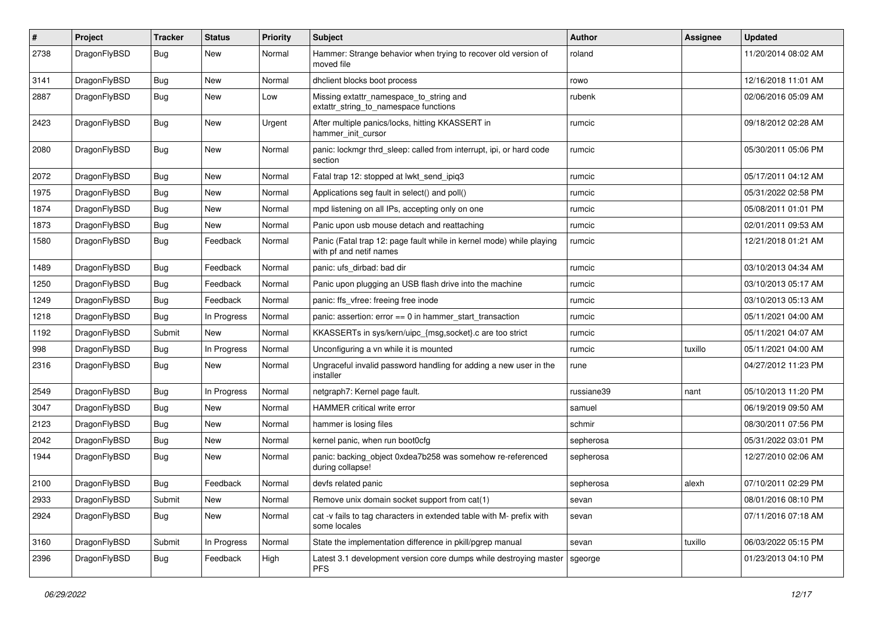| #    | Project      | <b>Tracker</b> | <b>Status</b> | <b>Priority</b> | Subject                                                                                         | <b>Author</b> | Assignee | <b>Updated</b>      |
|------|--------------|----------------|---------------|-----------------|-------------------------------------------------------------------------------------------------|---------------|----------|---------------------|
| 2738 | DragonFlyBSD | <b>Bug</b>     | New           | Normal          | Hammer: Strange behavior when trying to recover old version of<br>moved file                    | roland        |          | 11/20/2014 08:02 AM |
| 3141 | DragonFlyBSD | <b>Bug</b>     | New           | Normal          | dhclient blocks boot process                                                                    | rowo          |          | 12/16/2018 11:01 AM |
| 2887 | DragonFlyBSD | <b>Bug</b>     | <b>New</b>    | Low             | Missing extattr_namespace_to_string and<br>extattr_string_to_namespace functions                | rubenk        |          | 02/06/2016 05:09 AM |
| 2423 | DragonFlyBSD | <b>Bug</b>     | New           | Urgent          | After multiple panics/locks, hitting KKASSERT in<br>hammer_init_cursor                          | rumcic        |          | 09/18/2012 02:28 AM |
| 2080 | DragonFlyBSD | <b>Bug</b>     | New           | Normal          | panic: lockmgr thrd_sleep: called from interrupt, ipi, or hard code<br>section                  | rumcic        |          | 05/30/2011 05:06 PM |
| 2072 | DragonFlyBSD | <b>Bug</b>     | <b>New</b>    | Normal          | Fatal trap 12: stopped at lwkt_send_ipiq3                                                       | rumcic        |          | 05/17/2011 04:12 AM |
| 1975 | DragonFlyBSD | <b>Bug</b>     | New           | Normal          | Applications seg fault in select() and poll()                                                   | rumcic        |          | 05/31/2022 02:58 PM |
| 1874 | DragonFlyBSD | <b>Bug</b>     | New           | Normal          | mpd listening on all IPs, accepting only on one                                                 | rumcic        |          | 05/08/2011 01:01 PM |
| 1873 | DragonFlyBSD | <b>Bug</b>     | New           | Normal          | Panic upon usb mouse detach and reattaching                                                     | rumcic        |          | 02/01/2011 09:53 AM |
| 1580 | DragonFlyBSD | <b>Bug</b>     | Feedback      | Normal          | Panic (Fatal trap 12: page fault while in kernel mode) while playing<br>with pf and netif names | rumcic        |          | 12/21/2018 01:21 AM |
| 1489 | DragonFlyBSD | <b>Bug</b>     | Feedback      | Normal          | panic: ufs_dirbad: bad dir                                                                      | rumcic        |          | 03/10/2013 04:34 AM |
| 1250 | DragonFlyBSD | <b>Bug</b>     | Feedback      | Normal          | Panic upon plugging an USB flash drive into the machine                                         | rumcic        |          | 03/10/2013 05:17 AM |
| 1249 | DragonFlyBSD | <b>Bug</b>     | Feedback      | Normal          | panic: ffs vfree: freeing free inode                                                            | rumcic        |          | 03/10/2013 05:13 AM |
| 1218 | DragonFlyBSD | <b>Bug</b>     | In Progress   | Normal          | panic: assertion: $error == 0$ in hammer start transaction                                      | rumcic        |          | 05/11/2021 04:00 AM |
| 1192 | DragonFlyBSD | Submit         | <b>New</b>    | Normal          | KKASSERTs in sys/kern/uipc_{msg,socket}.c are too strict                                        | rumcic        |          | 05/11/2021 04:07 AM |
| 998  | DragonFlyBSD | <b>Bug</b>     | In Progress   | Normal          | Unconfiguring a vn while it is mounted                                                          | rumcic        | tuxillo  | 05/11/2021 04:00 AM |
| 2316 | DragonFlyBSD | <b>Bug</b>     | <b>New</b>    | Normal          | Ungraceful invalid password handling for adding a new user in the<br>installer                  | rune          |          | 04/27/2012 11:23 PM |
| 2549 | DragonFlyBSD | <b>Bug</b>     | In Progress   | Normal          | netgraph7: Kernel page fault.                                                                   | russiane39    | nant     | 05/10/2013 11:20 PM |
| 3047 | DragonFlyBSD | <b>Bug</b>     | New           | Normal          | HAMMER critical write error                                                                     | samuel        |          | 06/19/2019 09:50 AM |
| 2123 | DragonFlyBSD | <b>Bug</b>     | New           | Normal          | hammer is losing files                                                                          | schmir        |          | 08/30/2011 07:56 PM |
| 2042 | DragonFlyBSD | <b>Bug</b>     | New           | Normal          | kernel panic, when run boot0cfg                                                                 | sepherosa     |          | 05/31/2022 03:01 PM |
| 1944 | DragonFlyBSD | <b>Bug</b>     | New           | Normal          | panic: backing object 0xdea7b258 was somehow re-referenced<br>during collapse!                  | sepherosa     |          | 12/27/2010 02:06 AM |
| 2100 | DragonFlyBSD | <b>Bug</b>     | Feedback      | Normal          | devfs related panic                                                                             | sepherosa     | alexh    | 07/10/2011 02:29 PM |
| 2933 | DragonFlyBSD | Submit         | New           | Normal          | Remove unix domain socket support from cat(1)                                                   | sevan         |          | 08/01/2016 08:10 PM |
| 2924 | DragonFlyBSD | <b>Bug</b>     | New           | Normal          | cat -v fails to tag characters in extended table with M- prefix with<br>some locales            | sevan         |          | 07/11/2016 07:18 AM |
| 3160 | DragonFlyBSD | Submit         | In Progress   | Normal          | State the implementation difference in pkill/pgrep manual                                       | sevan         | tuxillo  | 06/03/2022 05:15 PM |
| 2396 | DragonFlyBSD | <b>Bug</b>     | Feedback      | High            | Latest 3.1 development version core dumps while destroying master<br><b>PFS</b>                 | sgeorge       |          | 01/23/2013 04:10 PM |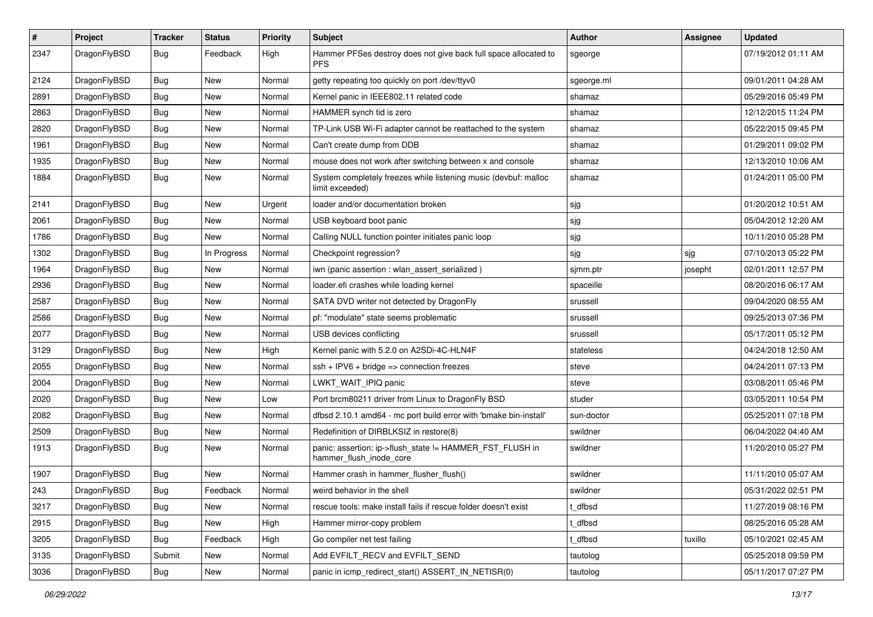| $\sharp$ | Project      | <b>Tracker</b> | <b>Status</b> | <b>Priority</b> | Subject                                                                             | Author     | Assignee | <b>Updated</b>      |
|----------|--------------|----------------|---------------|-----------------|-------------------------------------------------------------------------------------|------------|----------|---------------------|
| 2347     | DragonFlyBSD | Bug            | Feedback      | High            | Hammer PFSes destroy does not give back full space allocated to<br><b>PFS</b>       | sgeorge    |          | 07/19/2012 01:11 AM |
| 2124     | DragonFlyBSD | Bug            | <b>New</b>    | Normal          | getty repeating too quickly on port /dev/ttyv0                                      | sgeorge.ml |          | 09/01/2011 04:28 AM |
| 2891     | DragonFlyBSD | <b>Bug</b>     | New           | Normal          | Kernel panic in IEEE802.11 related code                                             | shamaz     |          | 05/29/2016 05:49 PM |
| 2863     | DragonFlyBSD | Bug            | <b>New</b>    | Normal          | HAMMER synch tid is zero                                                            | shamaz     |          | 12/12/2015 11:24 PM |
| 2820     | DragonFlyBSD | <b>Bug</b>     | <b>New</b>    | Normal          | TP-Link USB Wi-Fi adapter cannot be reattached to the system                        | shamaz     |          | 05/22/2015 09:45 PM |
| 1961     | DragonFlyBSD | <b>Bug</b>     | <b>New</b>    | Normal          | Can't create dump from DDB                                                          | shamaz     |          | 01/29/2011 09:02 PM |
| 1935     | DragonFlyBSD | <b>Bug</b>     | New           | Normal          | mouse does not work after switching between x and console                           | shamaz     |          | 12/13/2010 10:06 AM |
| 1884     | DragonFlyBSD | Bug            | New           | Normal          | System completely freezes while listening music (devbuf: malloc<br>limit exceeded)  | shamaz     |          | 01/24/2011 05:00 PM |
| 2141     | DragonFlyBSD | Bug            | <b>New</b>    | Urgent          | loader and/or documentation broken                                                  | sjg        |          | 01/20/2012 10:51 AM |
| 2061     | DragonFlyBSD | <b>Bug</b>     | New           | Normal          | USB keyboard boot panic                                                             | sjg        |          | 05/04/2012 12:20 AM |
| 1786     | DragonFlyBSD | <b>Bug</b>     | <b>New</b>    | Normal          | Calling NULL function pointer initiates panic loop                                  | sjg        |          | 10/11/2010 05:28 PM |
| 1302     | DragonFlyBSD | <b>Bug</b>     | In Progress   | Normal          | Checkpoint regression?                                                              | sjg        | sjg      | 07/10/2013 05:22 PM |
| 1964     | DragonFlyBSD | <b>Bug</b>     | <b>New</b>    | Normal          | iwn (panic assertion : wlan_assert_serialized)                                      | sjmm.ptr   | josepht  | 02/01/2011 12:57 PM |
| 2936     | DragonFlyBSD | <b>Bug</b>     | New           | Normal          | loader.efi crashes while loading kernel                                             | spaceille  |          | 08/20/2016 06:17 AM |
| 2587     | DragonFlyBSD | <b>Bug</b>     | <b>New</b>    | Normal          | SATA DVD writer not detected by DragonFly                                           | srussell   |          | 09/04/2020 08:55 AM |
| 2586     | DragonFlyBSD | Bug            | <b>New</b>    | Normal          | pf: "modulate" state seems problematic                                              | srussell   |          | 09/25/2013 07:36 PM |
| 2077     | DragonFlyBSD | <b>Bug</b>     | New           | Normal          | USB devices conflicting                                                             | srussell   |          | 05/17/2011 05:12 PM |
| 3129     | DragonFlyBSD | <b>Bug</b>     | <b>New</b>    | High            | Kernel panic with 5.2.0 on A2SDi-4C-HLN4F                                           | stateless  |          | 04/24/2018 12:50 AM |
| 2055     | DragonFlyBSD | <b>Bug</b>     | New           | Normal          | $ssh + IPV6 + bridge \Rightarrow connection freezes$                                | steve      |          | 04/24/2011 07:13 PM |
| 2004     | DragonFlyBSD | <b>Bug</b>     | New           | Normal          | LWKT_WAIT_IPIQ panic                                                                | steve      |          | 03/08/2011 05:46 PM |
| 2020     | DragonFlyBSD | Bug            | <b>New</b>    | Low             | Port brcm80211 driver from Linux to DragonFly BSD                                   | studer     |          | 03/05/2011 10:54 PM |
| 2082     | DragonFlyBSD | <b>Bug</b>     | <b>New</b>    | Normal          | dfbsd 2.10.1 amd64 - mc port build error with 'bmake bin-install'                   | sun-doctor |          | 05/25/2011 07:18 PM |
| 2509     | DragonFlyBSD | <b>Bug</b>     | New           | Normal          | Redefinition of DIRBLKSIZ in restore(8)                                             | swildner   |          | 06/04/2022 04:40 AM |
| 1913     | DragonFlyBSD | Bug            | New           | Normal          | panic: assertion: ip->flush_state != HAMMER_FST_FLUSH in<br>hammer_flush_inode_core | swildner   |          | 11/20/2010 05:27 PM |
| 1907     | DragonFlyBSD | <b>Bug</b>     | <b>New</b>    | Normal          | Hammer crash in hammer_flusher_flush()                                              | swildner   |          | 11/11/2010 05:07 AM |
| 243      | DragonFlyBSD | Bug            | Feedback      | Normal          | weird behavior in the shell                                                         | swildner   |          | 05/31/2022 02:51 PM |
| 3217     | DragonFlyBSD | Bug            | New           | Normal          | rescue tools: make install fails if rescue folder doesn't exist                     | t dfbsd    |          | 11/27/2019 08:16 PM |
| 2915     | DragonFlyBSD | Bug            | New           | High            | Hammer mirror-copy problem                                                          | t_dfbsd    |          | 08/25/2016 05:28 AM |
| 3205     | DragonFlyBSD | Bug            | Feedback      | High            | Go compiler net test failing                                                        | t dfbsd    | tuxillo  | 05/10/2021 02:45 AM |
| 3135     | DragonFlyBSD | Submit         | New           | Normal          | Add EVFILT_RECV and EVFILT_SEND                                                     | tautolog   |          | 05/25/2018 09:59 PM |
| 3036     | DragonFlyBSD | Bug            | New           | Normal          | panic in icmp redirect start() ASSERT IN NETISR(0)                                  | tautolog   |          | 05/11/2017 07:27 PM |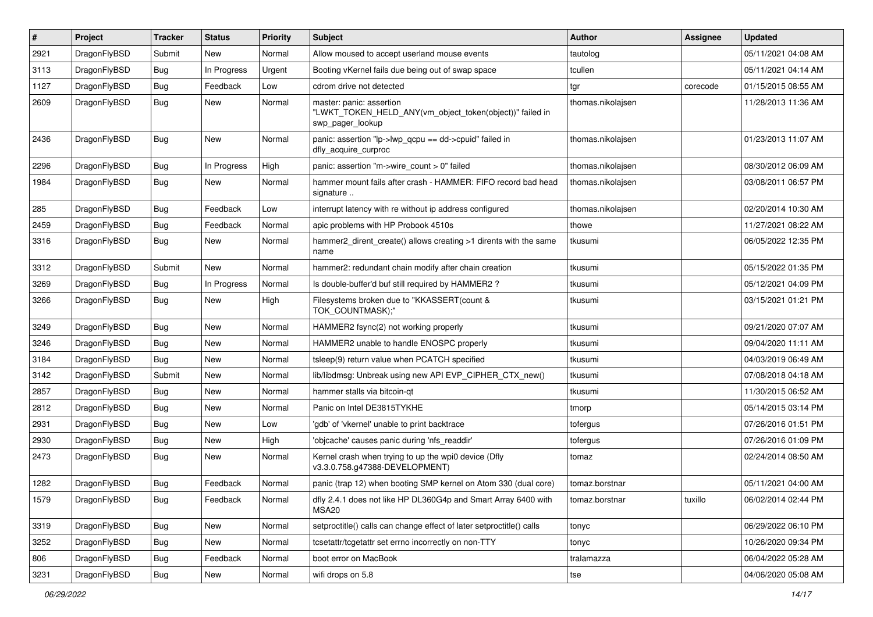| #    | Project      | <b>Tracker</b> | <b>Status</b> | <b>Priority</b> | <b>Subject</b>                                                                                           | Author            | Assignee | <b>Updated</b>      |
|------|--------------|----------------|---------------|-----------------|----------------------------------------------------------------------------------------------------------|-------------------|----------|---------------------|
| 2921 | DragonFlyBSD | Submit         | <b>New</b>    | Normal          | Allow moused to accept userland mouse events                                                             | tautolog          |          | 05/11/2021 04:08 AM |
| 3113 | DragonFlyBSD | <b>Bug</b>     | In Progress   | Urgent          | Booting vKernel fails due being out of swap space                                                        | tcullen           |          | 05/11/2021 04:14 AM |
| 1127 | DragonFlyBSD | <b>Bug</b>     | Feedback      | Low             | cdrom drive not detected                                                                                 | tgr               | corecode | 01/15/2015 08:55 AM |
| 2609 | DragonFlyBSD | Bug            | New           | Normal          | master: panic: assertion<br>"LWKT_TOKEN_HELD_ANY(vm_object_token(object))" failed in<br>swp pager lookup | thomas.nikolajsen |          | 11/28/2013 11:36 AM |
| 2436 | DragonFlyBSD | Bug            | <b>New</b>    | Normal          | panic: assertion "lp->lwp_qcpu == dd->cpuid" failed in<br>dfly_acquire_curproc                           | thomas.nikolajsen |          | 01/23/2013 11:07 AM |
| 2296 | DragonFlyBSD | <b>Bug</b>     | In Progress   | High            | panic: assertion "m->wire count > 0" failed                                                              | thomas.nikolaisen |          | 08/30/2012 06:09 AM |
| 1984 | DragonFlyBSD | <b>Bug</b>     | <b>New</b>    | Normal          | hammer mount fails after crash - HAMMER: FIFO record bad head<br>signature                               | thomas.nikolajsen |          | 03/08/2011 06:57 PM |
| 285  | DragonFlyBSD | <b>Bug</b>     | Feedback      | Low             | interrupt latency with re without ip address configured                                                  | thomas.nikolajsen |          | 02/20/2014 10:30 AM |
| 2459 | DragonFlyBSD | Bug            | Feedback      | Normal          | apic problems with HP Probook 4510s                                                                      | thowe             |          | 11/27/2021 08:22 AM |
| 3316 | DragonFlyBSD | Bug            | <b>New</b>    | Normal          | hammer2 dirent create() allows creating >1 dirents with the same<br>name                                 | tkusumi           |          | 06/05/2022 12:35 PM |
| 3312 | DragonFlyBSD | Submit         | <b>New</b>    | Normal          | hammer2: redundant chain modify after chain creation                                                     | tkusumi           |          | 05/15/2022 01:35 PM |
| 3269 | DragonFlyBSD | <b>Bug</b>     | In Progress   | Normal          | Is double-buffer'd buf still required by HAMMER2?                                                        | tkusumi           |          | 05/12/2021 04:09 PM |
| 3266 | DragonFlyBSD | Bug            | <b>New</b>    | High            | Filesystems broken due to "KKASSERT(count &<br>TOK COUNTMASK);"                                          | tkusumi           |          | 03/15/2021 01:21 PM |
| 3249 | DragonFlyBSD | <b>Bug</b>     | <b>New</b>    | Normal          | HAMMER2 fsync(2) not working properly                                                                    | tkusumi           |          | 09/21/2020 07:07 AM |
| 3246 | DragonFlyBSD | <b>Bug</b>     | <b>New</b>    | Normal          | HAMMER2 unable to handle ENOSPC properly                                                                 | tkusumi           |          | 09/04/2020 11:11 AM |
| 3184 | DragonFlyBSD | Bug            | <b>New</b>    | Normal          | tsleep(9) return value when PCATCH specified                                                             | tkusumi           |          | 04/03/2019 06:49 AM |
| 3142 | DragonFlyBSD | Submit         | <b>New</b>    | Normal          | lib/libdmsg: Unbreak using new API EVP CIPHER CTX new()                                                  | tkusumi           |          | 07/08/2018 04:18 AM |
| 2857 | DragonFlyBSD | Bug            | <b>New</b>    | Normal          | hammer stalls via bitcoin-qt                                                                             | tkusumi           |          | 11/30/2015 06:52 AM |
| 2812 | DragonFlyBSD | <b>Bug</b>     | <b>New</b>    | Normal          | Panic on Intel DE3815TYKHE                                                                               | tmorp             |          | 05/14/2015 03:14 PM |
| 2931 | DragonFlyBSD | <b>Bug</b>     | <b>New</b>    | Low             | 'gdb' of 'vkernel' unable to print backtrace                                                             | tofergus          |          | 07/26/2016 01:51 PM |
| 2930 | DragonFlyBSD | <b>Bug</b>     | <b>New</b>    | High            | 'objcache' causes panic during 'nfs readdir'                                                             | tofergus          |          | 07/26/2016 01:09 PM |
| 2473 | DragonFlyBSD | Bug            | <b>New</b>    | Normal          | Kernel crash when trying to up the wpi0 device (Dfly<br>v3.3.0.758.g47388-DEVELOPMENT)                   | tomaz             |          | 02/24/2014 08:50 AM |
| 1282 | DragonFlyBSD | <b>Bug</b>     | Feedback      | Normal          | panic (trap 12) when booting SMP kernel on Atom 330 (dual core)                                          | tomaz.borstnar    |          | 05/11/2021 04:00 AM |
| 1579 | DragonFlyBSD | <b>Bug</b>     | Feedback      | Normal          | dfly 2.4.1 does not like HP DL360G4p and Smart Array 6400 with<br>MSA20                                  | tomaz.borstnar    | tuxillo  | 06/02/2014 02:44 PM |
| 3319 | DragonFlyBSD | <b>Bug</b>     | New           | Normal          | setproctitle() calls can change effect of later setproctitle() calls                                     | tonyc             |          | 06/29/2022 06:10 PM |
| 3252 | DragonFlyBSD | Bug            | New           | Normal          | tcsetattr/tcgetattr set errno incorrectly on non-TTY                                                     | tonyc             |          | 10/26/2020 09:34 PM |
| 806  | DragonFlyBSD | <b>Bug</b>     | Feedback      | Normal          | boot error on MacBook                                                                                    | tralamazza        |          | 06/04/2022 05:28 AM |
| 3231 | DragonFlyBSD | Bug            | New           | Normal          | wifi drops on 5.8                                                                                        | tse               |          | 04/06/2020 05:08 AM |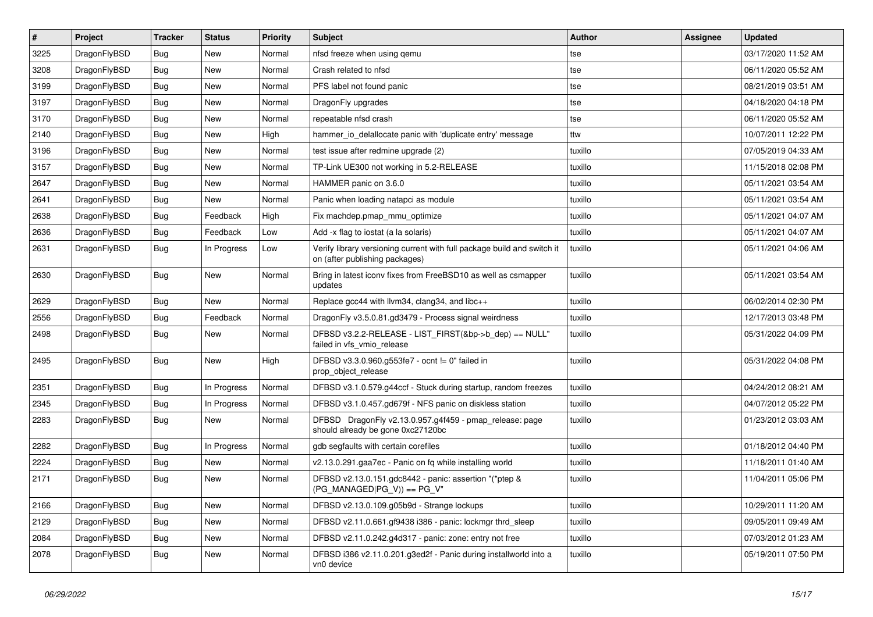| $\pmb{\#}$ | Project      | <b>Tracker</b> | <b>Status</b> | <b>Priority</b> | Subject                                                                                                   | Author  | Assignee | <b>Updated</b>      |
|------------|--------------|----------------|---------------|-----------------|-----------------------------------------------------------------------------------------------------------|---------|----------|---------------------|
| 3225       | DragonFlyBSD | Bug            | <b>New</b>    | Normal          | nfsd freeze when using qemu                                                                               | tse     |          | 03/17/2020 11:52 AM |
| 3208       | DragonFlyBSD | Bug            | <b>New</b>    | Normal          | Crash related to nfsd                                                                                     | tse     |          | 06/11/2020 05:52 AM |
| 3199       | DragonFlyBSD | <b>Bug</b>     | New           | Normal          | PFS label not found panic                                                                                 | tse     |          | 08/21/2019 03:51 AM |
| 3197       | DragonFlyBSD | Bug            | New           | Normal          | DragonFly upgrades                                                                                        | tse     |          | 04/18/2020 04:18 PM |
| 3170       | DragonFlyBSD | Bug            | <b>New</b>    | Normal          | repeatable nfsd crash                                                                                     | tse     |          | 06/11/2020 05:52 AM |
| 2140       | DragonFlyBSD | Bug            | New           | High            | hammer io delallocate panic with 'duplicate entry' message                                                | ttw     |          | 10/07/2011 12:22 PM |
| 3196       | DragonFlyBSD | Bug            | <b>New</b>    | Normal          | test issue after redmine upgrade (2)                                                                      | tuxillo |          | 07/05/2019 04:33 AM |
| 3157       | DragonFlyBSD | Bug            | <b>New</b>    | Normal          | TP-Link UE300 not working in 5.2-RELEASE                                                                  | tuxillo |          | 11/15/2018 02:08 PM |
| 2647       | DragonFlyBSD | Bug            | <b>New</b>    | Normal          | HAMMER panic on 3.6.0                                                                                     | tuxillo |          | 05/11/2021 03:54 AM |
| 2641       | DragonFlyBSD | Bug            | New           | Normal          | Panic when loading natapci as module                                                                      | tuxillo |          | 05/11/2021 03:54 AM |
| 2638       | DragonFlyBSD | Bug            | Feedback      | High            | Fix machdep.pmap_mmu_optimize                                                                             | tuxillo |          | 05/11/2021 04:07 AM |
| 2636       | DragonFlyBSD | Bug            | Feedback      | Low             | Add -x flag to iostat (a la solaris)                                                                      | tuxillo |          | 05/11/2021 04:07 AM |
| 2631       | DragonFlyBSD | Bug            | In Progress   | Low             | Verify library versioning current with full package build and switch it<br>on (after publishing packages) | tuxillo |          | 05/11/2021 04:06 AM |
| 2630       | DragonFlyBSD | Bug            | New           | Normal          | Bring in latest iconv fixes from FreeBSD10 as well as csmapper<br>updates                                 | tuxillo |          | 05/11/2021 03:54 AM |
| 2629       | DragonFlyBSD | Bug            | New           | Normal          | Replace gcc44 with llvm34, clang34, and libc++                                                            | tuxillo |          | 06/02/2014 02:30 PM |
| 2556       | DragonFlyBSD | Bug            | Feedback      | Normal          | DragonFly v3.5.0.81.gd3479 - Process signal weirdness                                                     | tuxillo |          | 12/17/2013 03:48 PM |
| 2498       | DragonFlyBSD | Bug            | New           | Normal          | DFBSD v3.2.2-RELEASE - LIST_FIRST(&bp->b_dep) == NULL"<br>failed in vfs_vmio_release                      | tuxillo |          | 05/31/2022 04:09 PM |
| 2495       | DragonFlyBSD | Bug            | New           | High            | DFBSD v3.3.0.960.g553fe7 - ocnt != 0" failed in<br>prop_object_release                                    | tuxillo |          | 05/31/2022 04:08 PM |
| 2351       | DragonFlyBSD | Bug            | In Progress   | Normal          | DFBSD v3.1.0.579.g44ccf - Stuck during startup, random freezes                                            | tuxillo |          | 04/24/2012 08:21 AM |
| 2345       | DragonFlyBSD | Bug            | In Progress   | Normal          | DFBSD v3.1.0.457.gd679f - NFS panic on diskless station                                                   | tuxillo |          | 04/07/2012 05:22 PM |
| 2283       | DragonFlyBSD | Bug            | New           | Normal          | DFBSD DragonFly v2.13.0.957.g4f459 - pmap_release: page<br>should already be gone 0xc27120bc              | tuxillo |          | 01/23/2012 03:03 AM |
| 2282       | DragonFlyBSD | <b>Bug</b>     | In Progress   | Normal          | gdb segfaults with certain corefiles                                                                      | tuxillo |          | 01/18/2012 04:40 PM |
| 2224       | DragonFlyBSD | Bug            | New           | Normal          | v2.13.0.291.gaa7ec - Panic on fq while installing world                                                   | tuxillo |          | 11/18/2011 01:40 AM |
| 2171       | DragonFlyBSD | Bug            | New           | Normal          | DFBSD v2.13.0.151.gdc8442 - panic: assertion "(*ptep &<br>$(PG_MANAGED PG_V)) == PG_V"$                   | tuxillo |          | 11/04/2011 05:06 PM |
| 2166       | DragonFlyBSD | Bug            | New           | Normal          | DFBSD v2.13.0.109.g05b9d - Strange lockups                                                                | tuxillo |          | 10/29/2011 11:20 AM |
| 2129       | DragonFlyBSD | Bug            | New           | Normal          | DFBSD v2.11.0.661.gf9438 i386 - panic: lockmgr thrd_sleep                                                 | tuxillo |          | 09/05/2011 09:49 AM |
| 2084       | DragonFlyBSD | <b>Bug</b>     | New           | Normal          | DFBSD v2.11.0.242.g4d317 - panic: zone: entry not free                                                    | tuxillo |          | 07/03/2012 01:23 AM |
| 2078       | DragonFlyBSD | Bug            | New           | Normal          | DFBSD i386 v2.11.0.201.g3ed2f - Panic during installworld into a<br>vn0 device                            | tuxillo |          | 05/19/2011 07:50 PM |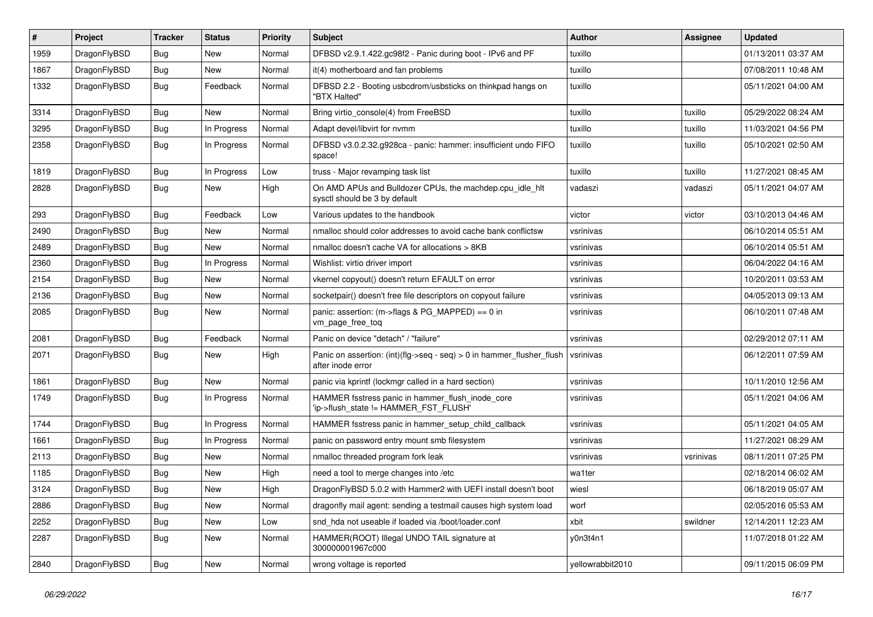| $\#$ | Project      | <b>Tracker</b> | <b>Status</b> | <b>Priority</b> | <b>Subject</b>                                                                             | <b>Author</b>    | Assignee  | <b>Updated</b>      |
|------|--------------|----------------|---------------|-----------------|--------------------------------------------------------------------------------------------|------------------|-----------|---------------------|
| 1959 | DragonFlyBSD | <b>Bug</b>     | <b>New</b>    | Normal          | DFBSD v2.9.1.422.gc98f2 - Panic during boot - IPv6 and PF                                  | tuxillo          |           | 01/13/2011 03:37 AM |
| 1867 | DragonFlyBSD | <b>Bug</b>     | New           | Normal          | it(4) motherboard and fan problems                                                         | tuxillo          |           | 07/08/2011 10:48 AM |
| 1332 | DragonFlyBSD | Bug            | Feedback      | Normal          | DFBSD 2.2 - Booting usbcdrom/usbsticks on thinkpad hangs on<br>"BTX Halted"                | tuxillo          |           | 05/11/2021 04:00 AM |
| 3314 | DragonFlyBSD | Bug            | New           | Normal          | Bring virtio_console(4) from FreeBSD                                                       | tuxillo          | tuxillo   | 05/29/2022 08:24 AM |
| 3295 | DragonFlyBSD | <b>Bug</b>     | In Progress   | Normal          | Adapt devel/libvirt for nvmm                                                               | tuxillo          | tuxillo   | 11/03/2021 04:56 PM |
| 2358 | DragonFlyBSD | Bug            | In Progress   | Normal          | DFBSD v3.0.2.32.g928ca - panic: hammer: insufficient undo FIFO<br>space!                   | tuxillo          | tuxillo   | 05/10/2021 02:50 AM |
| 1819 | DragonFlyBSD | <b>Bug</b>     | In Progress   | Low             | truss - Major revamping task list                                                          | tuxillo          | tuxillo   | 11/27/2021 08:45 AM |
| 2828 | DragonFlyBSD | <b>Bug</b>     | New           | High            | On AMD APUs and Bulldozer CPUs, the machdep.cpu_idle_hlt<br>sysctl should be 3 by default  | vadaszi          | vadaszi   | 05/11/2021 04:07 AM |
| 293  | DragonFlyBSD | <b>Bug</b>     | Feedback      | Low             | Various updates to the handbook                                                            | victor           | victor    | 03/10/2013 04:46 AM |
| 2490 | DragonFlyBSD | <b>Bug</b>     | <b>New</b>    | Normal          | nmalloc should color addresses to avoid cache bank conflictsw                              | vsrinivas        |           | 06/10/2014 05:51 AM |
| 2489 | DragonFlyBSD | Bug            | New           | Normal          | nmalloc doesn't cache VA for allocations > 8KB                                             | vsrinivas        |           | 06/10/2014 05:51 AM |
| 2360 | DragonFlyBSD | <b>Bug</b>     | In Progress   | Normal          | Wishlist: virtio driver import                                                             | vsrinivas        |           | 06/04/2022 04:16 AM |
| 2154 | DragonFlyBSD | Bug            | New           | Normal          | vkernel copyout() doesn't return EFAULT on error                                           | vsrinivas        |           | 10/20/2011 03:53 AM |
| 2136 | DragonFlyBSD | Bug            | New           | Normal          | socketpair() doesn't free file descriptors on copyout failure                              | vsrinivas        |           | 04/05/2013 09:13 AM |
| 2085 | DragonFlyBSD | Bug            | New           | Normal          | panic: assertion: (m->flags & PG_MAPPED) == 0 in<br>vm_page_free_toq                       | vsrinivas        |           | 06/10/2011 07:48 AM |
| 2081 | DragonFlyBSD | Bug            | Feedback      | Normal          | Panic on device "detach" / "failure"                                                       | vsrinivas        |           | 02/29/2012 07:11 AM |
| 2071 | DragonFlyBSD | <b>Bug</b>     | New           | High            | Panic on assertion: (int)(flg->seq - seq) > 0 in hammer_flusher_flush<br>after inode error | vsrinivas        |           | 06/12/2011 07:59 AM |
| 1861 | DragonFlyBSD | <b>Bug</b>     | New           | Normal          | panic via kprintf (lockmgr called in a hard section)                                       | vsrinivas        |           | 10/11/2010 12:56 AM |
| 1749 | DragonFlyBSD | <b>Bug</b>     | In Progress   | Normal          | HAMMER fsstress panic in hammer_flush_inode_core<br>'ip->flush_state != HAMMER_FST_FLUSH'  | vsrinivas        |           | 05/11/2021 04:06 AM |
| 1744 | DragonFlyBSD | <b>Bug</b>     | In Progress   | Normal          | HAMMER fsstress panic in hammer_setup_child_callback                                       | vsrinivas        |           | 05/11/2021 04:05 AM |
| 1661 | DragonFlyBSD | Bug            | In Progress   | Normal          | panic on password entry mount smb filesystem                                               | vsrinivas        |           | 11/27/2021 08:29 AM |
| 2113 | DragonFlyBSD | Bug            | New           | Normal          | nmalloc threaded program fork leak                                                         | vsrinivas        | vsrinivas | 08/11/2011 07:25 PM |
| 1185 | DragonFlyBSD | <b>Bug</b>     | New           | High            | need a tool to merge changes into /etc                                                     | wa1ter           |           | 02/18/2014 06:02 AM |
| 3124 | DragonFlyBSD | <b>Bug</b>     | New           | High            | DragonFlyBSD 5.0.2 with Hammer2 with UEFI install doesn't boot                             | wiesl            |           | 06/18/2019 05:07 AM |
| 2886 | DragonFlyBSD | Bug            | New           | Normal          | dragonfly mail agent: sending a testmail causes high system load                           | worf             |           | 02/05/2016 05:53 AM |
| 2252 | DragonFlyBSD | <b>Bug</b>     | New           | Low             | snd_hda not useable if loaded via /boot/loader.conf                                        | xbit             | swildner  | 12/14/2011 12:23 AM |
| 2287 | DragonFlyBSD | <b>Bug</b>     | New           | Normal          | HAMMER(ROOT) Illegal UNDO TAIL signature at<br>300000001967c000                            | y0n3t4n1         |           | 11/07/2018 01:22 AM |
| 2840 | DragonFlyBSD | <b>Bug</b>     | New           | Normal          | wrong voltage is reported                                                                  | yellowrabbit2010 |           | 09/11/2015 06:09 PM |